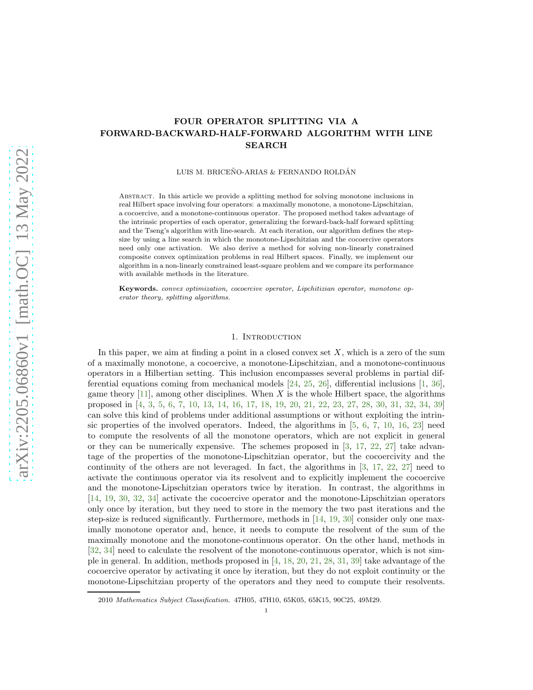# FOUR OPERATOR SPLITTING VIA A FORWARD-BACKWARD-HALF-FORWARD ALGORITHM WITH LINE **SEARCH**

### LUIS M. BRICEÑO-ARIAS & FERNANDO ROLDÁN

Abstract. In this article we provide a splitting method for solving monotone inclusions in real Hilbert space involving four operators: a maximally monotone, a monotone-Lipschitzian, a cocoercive, and a monotone-continuous operator. The proposed method takes advantage of the intrinsic properties of each operator, generalizing the forward-back-half forward splitting and the Tseng's algorithm with line-search. At each iteration, our algorithm defines the stepsize by using a line search in which the monotone-Lipschitzian and the cocoercive operators need only one activation. We also derive a method for solving non-linearly constrained composite convex optimization problems in real Hilbert spaces. Finally, we implement our algorithm in a non-linearly constrained least-square problem and we compare its performance with available methods in the literature.

Keywords. convex optimization, cocoercive operator, Lipchitizian operator, monotone operator theory, splitting algorithms.

#### 1. INTRODUCTION

In this paper, we aim at finding a point in a closed convex set  $X$ , which is a zero of the sum of a maximally monotone, a cocoercive, a monotone-Lipschitzian, and a monotone-continuous operators in a Hilbertian setting. This inclusion encompasses several problems in partial differential equations coming from mechanical models [\[24,](#page-15-0) [25,](#page-15-1) [26\]](#page-15-2), differential inclusions [\[1,](#page-14-0) [36\]](#page-15-3), game theory  $[11]$ , among other disciplines. When X is the whole Hilbert space, the algorithms proposed in [\[4,](#page-14-2) [3,](#page-14-3) [5,](#page-14-4) [6,](#page-14-5) [7,](#page-14-6) [10,](#page-14-7) [13,](#page-14-8) [14,](#page-14-9) [16,](#page-15-4) [17,](#page-15-5) [18,](#page-15-6) [19,](#page-15-7) [20,](#page-15-8) [21,](#page-15-9) [22,](#page-15-10) [23,](#page-15-11) [27,](#page-15-12) [28,](#page-15-13) [30,](#page-15-14) [31,](#page-15-15) [32,](#page-15-16) [34,](#page-15-17) [39\]](#page-16-0) can solve this kind of problems under additional assumptions or without exploiting the intrinsic properties of the involved operators. Indeed, the algorithms in  $[5, 6, 7, 10, 16, 23]$  $[5, 6, 7, 10, 16, 23]$  $[5, 6, 7, 10, 16, 23]$  $[5, 6, 7, 10, 16, 23]$  $[5, 6, 7, 10, 16, 23]$  $[5, 6, 7, 10, 16, 23]$  $[5, 6, 7, 10, 16, 23]$  $[5, 6, 7, 10, 16, 23]$  $[5, 6, 7, 10, 16, 23]$  $[5, 6, 7, 10, 16, 23]$  $[5, 6, 7, 10, 16, 23]$  need to compute the resolvents of all the monotone operators, which are not explicit in general or they can be numerically expensive. The schemes proposed in  $[3, 17, 22, 27]$  $[3, 17, 22, 27]$  $[3, 17, 22, 27]$  $[3, 17, 22, 27]$  $[3, 17, 22, 27]$  $[3, 17, 22, 27]$  take advantage of the properties of the monotone-Lipschitzian operator, but the cocoercivity and the continuity of the others are not leveraged. In fact, the algorithms in [\[3,](#page-14-3) [17,](#page-15-5) [22,](#page-15-10) [27\]](#page-15-12) need to activate the continuous operator via its resolvent and to explicitly implement the cocoercive and the monotone-Lipschitzian operators twice by iteration. In contrast, the algorithms in [\[14,](#page-14-9) [19,](#page-15-7) [30,](#page-15-14) [32,](#page-15-16) [34\]](#page-15-17) activate the cocoercive operator and the monotone-Lipschitzian operators only once by iteration, but they need to store in the memory the two past iterations and the step-size is reduced significantly. Furthermore, methods in [\[14,](#page-14-9) [19,](#page-15-7) [30\]](#page-15-14) consider only one maximally monotone operator and, hence, it needs to compute the resolvent of the sum of the maximally monotone and the monotone-continuous operator. On the other hand, methods in [\[32,](#page-15-16) [34\]](#page-15-17) need to calculate the resolvent of the monotone-continuous operator, which is not simple in general. In addition, methods proposed in [\[4,](#page-14-2) [18,](#page-15-6) [20,](#page-15-8) [21,](#page-15-9) [28,](#page-15-13) [31,](#page-15-15) [39\]](#page-16-0) take advantage of the cocoercive operator by activating it once by iteration, but they do not exploit continuity or the monotone-Lipschitzian property of the operators and they need to compute their resolvents.

<sup>2010</sup> Mathematics Subject Classification. 47H05, 47H10, 65K05, 65K15, 90C25, 49M29.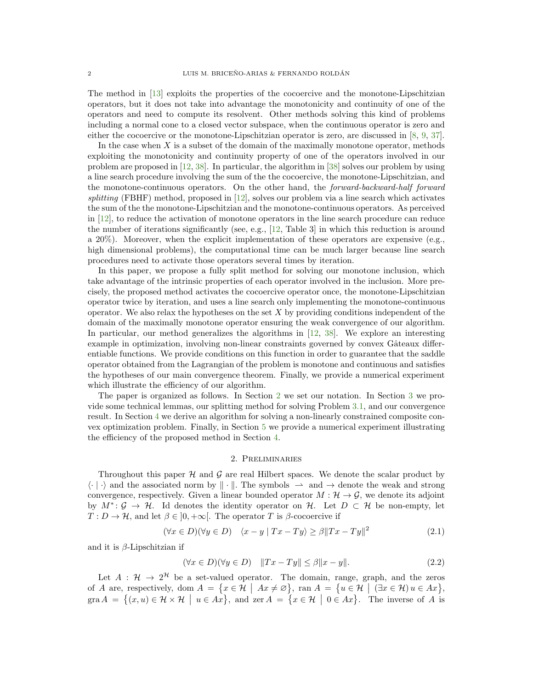The method in [\[13\]](#page-14-8) exploits the properties of the cocoercive and the monotone-Lipschitzian operators, but it does not take into advantage the monotonicity and continuity of one of the operators and need to compute its resolvent. Other methods solving this kind of problems including a normal cone to a closed vector subspace, when the continuous operator is zero and either the cocoercive or the monotone-Lipschitzian operator is zero, are discussed in [\[8,](#page-14-10) [9,](#page-14-11) [37\]](#page-15-18).

In the case when  $X$  is a subset of the domain of the maximally monotone operator, methods exploiting the monotonicity and continuity property of one of the operators involved in our problem are proposed in [\[12,](#page-14-12) [38\]](#page-16-1). In particular, the algorithm in [\[38\]](#page-16-1) solves our problem by using a line search procedure involving the sum of the the cocoercive, the monotone-Lipschitzian, and the monotone-continuous operators. On the other hand, the forward-backward-half forward splitting (FBHF) method, proposed in  $[12]$ , solves our problem via a line search which activates the sum of the the monotone-Lipschitzian and the monotone-continuous operators. As perceived in [\[12\]](#page-14-12), to reduce the activation of monotone operators in the line search procedure can reduce the number of iterations significantly (see, e.g., [\[12,](#page-14-12) Table 3] in which this reduction is around a 20%). Moreover, when the explicit implementation of these operators are expensive (e.g., high dimensional problems), the computational time can be much larger because line search procedures need to activate those operators several times by iteration.

In this paper, we propose a fully split method for solving our monotone inclusion, which take advantage of the intrinsic properties of each operator involved in the inclusion. More precisely, the proposed method activates the cocoercive operator once, the monotone-Lipschitzian operator twice by iteration, and uses a line search only implementing the monotone-continuous operator. We also relax the hypotheses on the set  $X$  by providing conditions independent of the domain of the maximally monotone operator ensuring the weak convergence of our algorithm. In particular, our method generalizes the algorithms in [\[12,](#page-14-12) [38\]](#page-16-1). We explore an interesting example in optimization, involving non-linear constraints governed by convex Gâteaux differentiable functions. We provide conditions on this function in order to guarantee that the saddle operator obtained from the Lagrangian of the problem is monotone and continuous and satisfies the hypotheses of our main convergence theorem. Finally, we provide a numerical experiment which illustrate the efficiency of our algorithm.

The paper is organized as follows. In Section [2](#page-1-0) we set our notation. In Section [3](#page-2-0) we provide some technical lemmas, our splitting method for solving Problem [3.1,](#page-2-1) and our convergence result. In Section [4](#page-7-0) we derive an algorithm for solving a non-linearly constrained composite convex optimization problem. Finally, in Section [5](#page-11-0) we provide a numerical experiment illustrating the efficiency of the proposed method in Section [4.](#page-7-0)

# 2. Preliminaries

<span id="page-1-0"></span>Throughout this paper  $H$  and  $G$  are real Hilbert spaces. We denote the scalar product by  $\langle \cdot | \cdot \rangle$  and the associated norm by  $\| \cdot \|$ . The symbols  $\rightarrow$  and  $\rightarrow$  denote the weak and strong convergence, respectively. Given a linear bounded operator  $M : \mathcal{H} \to \mathcal{G}$ , we denote its adjoint by  $M^*$ :  $\mathcal{G} \to \mathcal{H}$ . Id denotes the identity operator on  $\mathcal{H}$ . Let  $D \subset \mathcal{H}$  be non-empty, let  $T: D \to \mathcal{H}$ , and let  $\beta \in ]0, +\infty[$ . The operator T is  $\beta$ -cocoercive if

$$
(\forall x \in D)(\forall y \in D) \quad \langle x - y | Tx - Ty \rangle \ge \beta || Tx - Ty ||^2 \tag{2.1}
$$

and it is  $\beta$ -Lipschitzian if

$$
(\forall x \in D)(\forall y \in D) \quad ||Tx - Ty|| \le \beta ||x - y||. \tag{2.2}
$$

Let  $A : \mathcal{H} \to 2^{\mathcal{H}}$  be a set-valued operator. The domain, range, graph, and the zeros of A are, respectively, dom  $A = \{x \in \mathcal{H} \mid Ax \neq \emptyset\}$ , ran  $A = \{u \in \mathcal{H} \mid (\exists x \in \mathcal{H}) u \in Ax\}$ , gra  $A = \{(x, u) \in \mathcal{H} \times \mathcal{H} \mid u \in Ax\}$ , and zer  $A = \{x \in \mathcal{H} \mid 0 \in Ax\}$ . The inverse of A is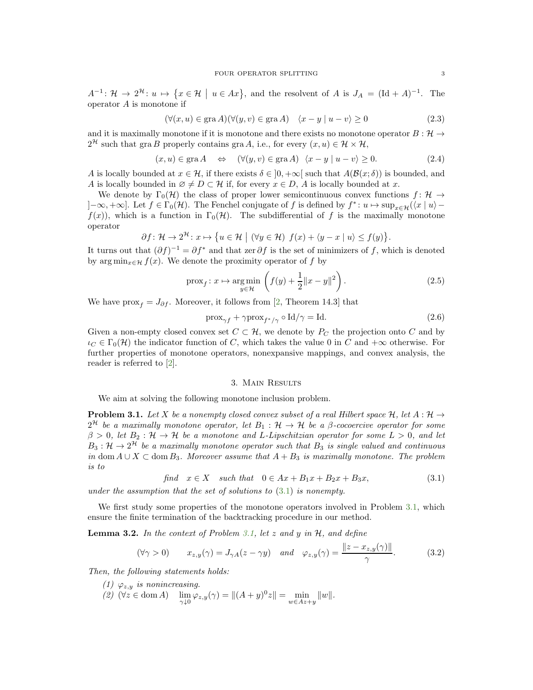$A^{-1}$ :  $\mathcal{H} \to 2^{\mathcal{H}}$ :  $u \mapsto \{x \in \mathcal{H} \mid u \in Ax\}$ , and the resolvent of A is  $J_A = (\text{Id} + A)^{-1}$ . The operator  $A$  is monotone if

$$
(\forall (x, u) \in \text{gra } A)(\forall (y, v) \in \text{gra } A) \quad \langle x - y | u - v \rangle \ge 0 \tag{2.3}
$$

and it is maximally monotone if it is monotone and there exists no monotone operator  $B: \mathcal{H} \to$  $2^{\mathcal{H}}$  such that gra B properly contains gra A, i.e., for every  $(x, u) \in \mathcal{H} \times \mathcal{H}$ ,

$$
(x, u) \in \text{gra } A \quad \Leftrightarrow \quad (\forall (y, v) \in \text{gra } A) \quad \langle x - y | u - v \rangle \ge 0. \tag{2.4}
$$

A is locally bounded at  $x \in \mathcal{H}$ , if there exists  $\delta \in [0, +\infty[$  such that  $A(\mathcal{B}(x;\delta))$  is bounded, and A is locally bounded in  $\emptyset \neq D \subset \mathcal{H}$  if, for every  $x \in D$ , A is locally bounded at x.

We denote by  $\Gamma_0(\mathcal{H})$  the class of proper lower semicontinuous convex functions  $f: \mathcal{H} \to$  $]-\infty, +\infty]$ . Let  $f \in \Gamma_0(\mathcal{H})$ . The Fenchel conjugate of f is defined by  $f^*: u \mapsto \sup_{x \in \mathcal{H}} (\langle x | u \rangle$  $f(x)$ , which is a function in  $\Gamma_0(\mathcal{H})$ . The subdifferential of f is the maximally monotone operator

$$
\partial f: \mathcal{H} \to 2^{\mathcal{H}}: x \mapsto \{u \in \mathcal{H} \mid (\forall y \in \mathcal{H}) \ f(x) + \langle y - x \mid u \rangle \le f(y) \}.
$$

It turns out that  $(\partial f)^{-1} = \partial f^*$  and that zer  $\partial f$  is the set of minimizers of f, which is denoted by arg min<sub> $x \in \mathcal{H}$ </sub>  $f(x)$ . We denote the proximity operator of f by

$$
\text{prox}_{f}: x \mapsto \underset{y \in \mathcal{H}}{\text{arg min}} \left( f(y) + \frac{1}{2} \|x - y\|^2 \right). \tag{2.5}
$$

We have prox<sub>f</sub> =  $J_{\partial f}$ . Moreover, it follows from [\[2,](#page-14-13) Theorem 14.3] that

$$
\text{prox}_{\gamma f} + \gamma \text{prox}_{f^*/\gamma} \circ \text{Id}/\gamma = \text{Id}.\tag{2.6}
$$

Given a non-empty closed convex set  $C \subset \mathcal{H}$ , we denote by  $P_C$  the projection onto C and by  $\iota_C \in \Gamma_0(H)$  the indicator function of C, which takes the value 0 in C and  $+\infty$  otherwise. For further properties of monotone operators, nonexpansive mappings, and convex analysis, the reader is referred to [\[2\]](#page-14-13).

# 3. Main Results

<span id="page-2-0"></span>We aim at solving the following monotone inclusion problem.

<span id="page-2-1"></span>**Problem 3.1.** Let X be a nonempty closed convex subset of a real Hilbert space  $H$ , let  $A : H \rightarrow$  $2^{\mathcal{H}}$  be a maximally monotone operator, let  $B_1: \mathcal{H} \to \mathcal{H}$  be a  $\beta$ -cocoercive operator for some  $\beta > 0$ , let  $B_2 : \mathcal{H} \to \mathcal{H}$  be a monotone and L-Lipschitzian operator for some  $L > 0$ , and let  $B_3: \mathcal{H} \to 2^{\mathcal{H}}$  be a maximally monotone operator such that  $B_3$  is single valued and continuous in dom  $A \cup X \subset$  dom  $B_3$ . Moreover assume that  $A + B_3$  is maximally monotone. The problem is to

$$
find \t x \in X \t such that \t 0 \in Ax + B_1x + B_2x + B_3x,
$$
\t(3.1)

under the assumption that the set of solutions to  $(3.1)$  is nonempty.

We first study some properties of the monotone operators involved in Problem [3.1,](#page-2-1) which ensure the finite termination of the backtracking procedure in our method.

<span id="page-2-5"></span>**Lemma 3.2.** In the context of Problem [3.1,](#page-2-1) let  $z$  and  $y$  in  $H$ , and define

<span id="page-2-4"></span>
$$
(\forall \gamma > 0) \qquad x_{z,y}(\gamma) = J_{\gamma A}(z - \gamma y) \quad \text{and} \quad \varphi_{z,y}(\gamma) = \frac{\|z - x_{z,y}(\gamma)\|}{\gamma}.
$$
 (3.2)

<span id="page-2-2"></span>Then, the following statements holds:

- <span id="page-2-3"></span>(1)  $\varphi_{z,y}$  is nonincreasing.
- (2)  $(\forall z \in \text{dom } A)$   $\lim_{\gamma \downarrow 0} \varphi_{z,y}(\gamma) = ||(A + y)^0 z|| = \min_{w \in Az + y} ||w||.$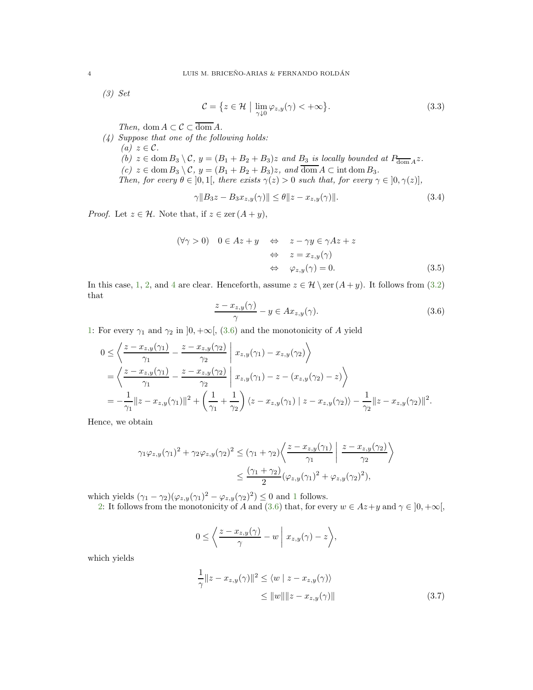<span id="page-3-3"></span>(3) Set

<span id="page-3-4"></span>
$$
\mathcal{C} = \{ z \in \mathcal{H} \mid \lim_{\gamma \downarrow 0} \varphi_{z,y}(\gamma) < +\infty \}. \tag{3.3}
$$

Then, dom  $A \subset \mathcal{C} \subset \overline{\text{dom }A}$ .

<span id="page-3-7"></span><span id="page-3-6"></span><span id="page-3-5"></span><span id="page-3-0"></span>(4) Suppose that one of the following holds: (a)  $z \in \mathcal{C}$ . (b)  $z \in \text{dom } B_3 \setminus C$ ,  $y = (B_1 + B_2 + B_3)z$  and  $B_3$  is locally bounded at  $P_{\text{dom } A}z$ . (c)  $z \in \text{dom } B_3 \setminus C$ ,  $y = (B_1 + B_2 + B_3)z$ , and  $\overline{\text{dom } A} \subset \text{int dom } B_3$ . Then, for every  $\theta \in ]0,1[$ , there exists  $\gamma(z) > 0$  such that, for every  $\gamma \in [0,\gamma(z)]$ ,

$$
\gamma \|B_3 z - B_3 x_{z,y}(\gamma)\| \le \theta \|z - x_{z,y}(\gamma)\|.
$$
\n(3.4)

*Proof.* Let  $z \in \mathcal{H}$ . Note that, if  $z \in \text{zer } (A + y)$ ,

$$
(\forall \gamma > 0) \quad 0 \in Az + y \quad \Leftrightarrow \quad z - \gamma y \in \gamma Az + z
$$

$$
\Leftrightarrow \quad z = x_{z,y}(\gamma)
$$

$$
\Leftrightarrow \quad \varphi_{z,y}(\gamma) = 0. \tag{3.5}
$$

In this case, [1,](#page-2-2) [2,](#page-2-3) and [4](#page-3-0) are clear. Henceforth, assume  $z \in \mathcal{H} \setminus \text{zer}(A + y)$ . It follows from [\(3.2\)](#page-2-4) that

<span id="page-3-2"></span><span id="page-3-1"></span>
$$
\frac{z - x_{z,y}(\gamma)}{\gamma} - y \in Ax_{z,y}(\gamma). \tag{3.6}
$$

[1:](#page-2-2) For every  $\gamma_1$  and  $\gamma_2$  in  $]0, +\infty[$ , [\(3.6\)](#page-3-1) and the monotonicity of A yield

$$
0 \leq \left\langle \frac{z - x_{z,y}(\gamma_1)}{\gamma_1} - \frac{z - x_{z,y}(\gamma_2)}{\gamma_2} \middle| x_{z,y}(\gamma_1) - x_{z,y}(\gamma_2) \right\rangle
$$
  
= 
$$
\left\langle \frac{z - x_{z,y}(\gamma_1)}{\gamma_1} - \frac{z - x_{z,y}(\gamma_2)}{\gamma_2} \middle| x_{z,y}(\gamma_1) - z - (x_{z,y}(\gamma_2) - z) \right\rangle
$$
  
= 
$$
-\frac{1}{\gamma_1} ||z - x_{z,y}(\gamma_1)||^2 + \left(\frac{1}{\gamma_1} + \frac{1}{\gamma_2}\right) \langle z - x_{z,y}(\gamma_1) | z - x_{z,y}(\gamma_2) \rangle - \frac{1}{\gamma_2} ||z - x_{z,y}(\gamma_2)||^2.
$$

Hence, we obtain

$$
\gamma_1 \varphi_{z,y}(\gamma_1)^2 + \gamma_2 \varphi_{z,y}(\gamma_2)^2 \leq (\gamma_1 + \gamma_2) \left\langle \frac{z - x_{z,y}(\gamma_1)}{\gamma_1} \middle| \frac{z - x_{z,y}(\gamma_2)}{\gamma_2} \right\rangle
$$
  
 
$$
\leq \frac{(\gamma_1 + \gamma_2)}{2} (\varphi_{z,y}(\gamma_1)^2 + \varphi_{z,y}(\gamma_2)^2),
$$

which yields  $(\gamma_1 - \gamma_2)(\varphi_{z,y}(\gamma_1)^2 - \varphi_{z,y}(\gamma_2)^2) \leq 0$  $(\gamma_1 - \gamma_2)(\varphi_{z,y}(\gamma_1)^2 - \varphi_{z,y}(\gamma_2)^2) \leq 0$  $(\gamma_1 - \gamma_2)(\varphi_{z,y}(\gamma_1)^2 - \varphi_{z,y}(\gamma_2)^2) \leq 0$  and 1 follows.

[2:](#page-2-3) It follows from the monotonicity of A and [\(3.6\)](#page-3-1) that, for every  $w \in Az + y$  and  $\gamma \in ]0, +\infty[$ ,

$$
0 \leq \left\langle \frac{z - x_{z,y}(\gamma)}{\gamma} - w \mid x_{z,y}(\gamma) - z \right\rangle,
$$

which yields

$$
\frac{1}{\gamma} \|z - x_{z,y}(\gamma)\|^2 \le \langle w \mid z - x_{z,y}(\gamma) \rangle
$$
  
\n
$$
\le \|w\| \|z - x_{z,y}(\gamma)\|
$$
\n(3.7)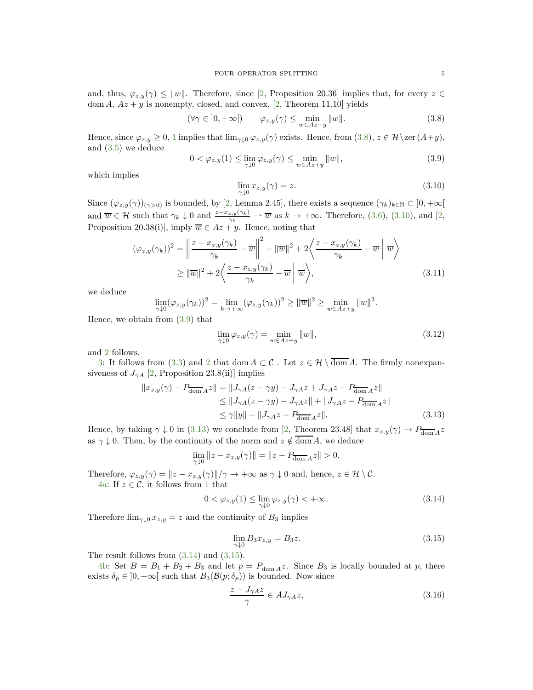and, thus,  $\varphi_{z,y}(\gamma) \leq ||w||$ . Therefore, since [\[2,](#page-14-13) Proposition 20.36] implies that, for every  $z \in$ dom  $A$ ,  $Az + y$  is nonempty, closed, and convex, [\[2,](#page-14-13) Theorem 11.10] yields

$$
(\forall \gamma \in ]0, +\infty[) \qquad \varphi_{z,y}(\gamma) \le \min_{w \in Az + y} ||w||. \tag{3.8}
$$

Hence, since  $\varphi_{z,y} \geq 0, 1$  $\varphi_{z,y} \geq 0, 1$  implies that  $\lim_{\gamma \downarrow 0} \varphi_{z,y}(\gamma)$  exists. Hence, from  $(3.8), z \in \mathcal{H} \setminus \text{zer}(A+y),$ and [\(3.5\)](#page-3-2) we deduce

<span id="page-4-2"></span>
$$
0 < \varphi_{z,y}(1) \le \lim_{\gamma \downarrow 0} \varphi_{z,y}(\gamma) \le \min_{w \in Az + y} ||w||,
$$
\n(3.9)

which implies

<span id="page-4-1"></span>
$$
\lim_{\gamma \downarrow 0} x_{z,y}(\gamma) = z. \tag{3.10}
$$

Since  $(\varphi_{z,y}(\gamma))_{(\gamma>0)}$  is bounded, by [\[2,](#page-14-13) Lemma 2.45], there exists a sequence  $(\gamma_k)_{k\in\mathbb{N}}\subset]0,+\infty[$ and  $\overline{w} \in \mathcal{H}$  such that  $\gamma_k \downarrow 0$  and  $\frac{z-x_{z,y}(\gamma_k)}{\gamma_k} \rightharpoonup \overline{w}$  as  $k \to +\infty$ . Therefore, [\(3.6\)](#page-3-1), [\(3.10\)](#page-4-1), and [\[2,](#page-14-13) Proposition 20.38(i)], imply  $\overline{w} \in Az + y$ . Hence, noting that

$$
(\varphi_{z,y}(\gamma_k))^2 = \left\| \frac{z - x_{z,y}(\gamma_k)}{\gamma_k} - \overline{w} \right\|^2 + \|\overline{w}\|^2 + 2\left\langle \frac{z - x_{z,y}(\gamma_k)}{\gamma_k} - \overline{w} \right\| \overline{w} \right\}
$$
  
\n
$$
\geq \|\overline{w}\|^2 + 2\left\langle \frac{z - x_{z,y}(\gamma_k)}{\gamma_k} - \overline{w} \right\| \overline{w} \right\rangle, \tag{3.11}
$$

we deduce

$$
\lim_{\gamma \downarrow 0} (\varphi_{z,y}(\gamma_k))^2 = \lim_{k \to +\infty} (\varphi_{z,y}(\gamma_k))^2 \ge ||\overline{w}||^2 \ge \min_{w \in Az + y} ||w||^2
$$

Hence, we obtain from [\(3.9\)](#page-4-2) that

$$
\lim_{\gamma \downarrow 0} \varphi_{z,y}(\gamma) = \min_{w \in Az + y} ||w||, \tag{3.12}
$$

<span id="page-4-3"></span><span id="page-4-0"></span>.

and [2](#page-2-3) follows.

[3:](#page-3-3) It follows from [\(3.3\)](#page-3-4) and [2](#page-2-3) that dom  $A \subset \mathcal{C}$ . Let  $z \in \mathcal{H} \setminus \overline{\text{dom }A}$ . The firmly nonexpansiveness of  $J_{\gamma A}$  [\[2,](#page-14-13) Proposition 23.8(ii)] implies

$$
||x_{z,y}(\gamma) - P_{\overline{\text{dom}}A}z|| = ||J_{\gamma A}(z - \gamma y) - J_{\gamma A}z + J_{\gamma A}z - P_{\overline{\text{dom}}A}z||
$$
  
\n
$$
\le ||J_{\gamma A}(z - \gamma y) - J_{\gamma A}z|| + ||J_{\gamma A}z - P_{\overline{\text{dom}}A}z||
$$
  
\n
$$
\le \gamma ||y|| + ||J_{\gamma A}z - P_{\overline{\text{dom}}A}z||.
$$
\n(3.13)

Hence, by taking  $\gamma \downarrow 0$  in [\(3.13\)](#page-4-3) we conclude from [\[2,](#page-14-13) Theorem 23.48] that  $x_{z,y}(\gamma) \to P_{\overline{\text{dom}}} A z$ as  $\gamma \downarrow 0$ . Then, by the continuity of the norm and  $z \notin \overline{\text{dom }A}$ , we deduce

$$
\lim_{\gamma \downarrow 0} ||z - x_{z,y}(\gamma)|| = ||z - P_{\overline{\text{dom}}A}z|| > 0.
$$

Therefore,  $\varphi_{z,y}(\gamma) = ||z - x_{z,y}(\gamma)||/\gamma \to +\infty$  as  $\gamma \downarrow 0$  and, hence,  $z \in \mathcal{H} \setminus \mathcal{C}$ . [4a:](#page-3-5) If  $z \in \mathcal{C}$ , it follows from [1](#page-2-2) that

<span id="page-4-4"></span>
$$
0 < \varphi_{z,y}(1) \le \lim_{\gamma \downarrow 0} \varphi_{z,y}(\gamma) < +\infty. \tag{3.14}
$$

Therefore  $\lim_{\gamma \downarrow 0} x_{z,y} = z$  and the continuity of  $B_3$  implies

<span id="page-4-5"></span>
$$
\lim_{\gamma \downarrow 0} B_3 x_{z,y} = B_3 z. \tag{3.15}
$$

The result follows from [\(3.14\)](#page-4-4) and [\(3.15\)](#page-4-5).

[4b:](#page-3-6) Set  $B = B_1 + B_2 + B_3$  and let  $p = P_{\overline{\text{dom}} A} z$ . Since  $B_3$  is locally bounded at p, there exists  $\delta_p \in ]0, +\infty[$  such that  $B_3(\mathcal{B}(p; \delta_p))$  is bounded. Now since

$$
\frac{z - J_{\gamma A}z}{\gamma} \in AJ_{\gamma A}z,\tag{3.16}
$$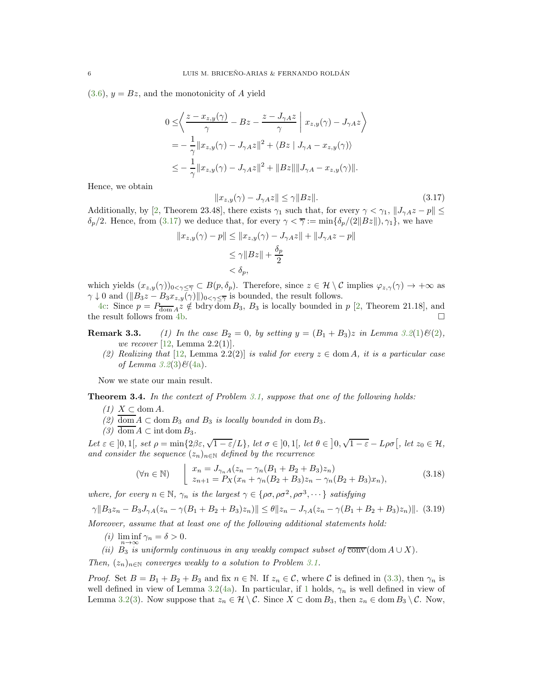$(3.6), y = Bz$  $(3.6), y = Bz$ , and the monotonicity of A yield

$$
0 \leq \left\langle \frac{z - x_{z,y}(\gamma)}{\gamma} - Bz - \frac{z - J_{\gamma A}z}{\gamma} \middle| x_{z,y}(\gamma) - J_{\gamma A}z \right\rangle
$$
  
= 
$$
-\frac{1}{\gamma} ||x_{z,y}(\gamma) - J_{\gamma A}z||^2 + \langle Bz | J_{\gamma A} - x_{z,y}(\gamma) \rangle
$$
  

$$
\leq -\frac{1}{\gamma} ||x_{z,y}(\gamma) - J_{\gamma A}z||^2 + ||Bz|| ||J_{\gamma A} - x_{z,y}(\gamma)||.
$$

Hence, we obtain

<span id="page-5-0"></span>
$$
||x_{z,y}(\gamma) - J_{\gamma A}z|| \le \gamma ||Bz||. \tag{3.17}
$$

Additionally, by [\[2,](#page-14-13) Theorem 23.48], there exists  $\gamma_1$  such that, for every  $\gamma < \gamma_1$ ,  $||J_{\gamma A}z - p|| \le$  $\delta_p/2$ . Hence, from [\(3.17\)](#page-5-0) we deduce that, for every  $\gamma < \overline{\gamma} := \min{\{\delta_p/(2||Bz||), \gamma_1\}}$ , we have

$$
||x_{z,y}(\gamma) - p|| \le ||x_{z,y}(\gamma) - J_{\gamma A}z|| + ||J_{\gamma A}z - p||
$$
  
\n
$$
\le \gamma ||Bz|| + \frac{\delta_p}{2}
$$
  
\n
$$
< \delta_p,
$$

which yields  $(x_{z,y}(\gamma))_{0<\gamma\leq\overline{\gamma}}\subset B(p,\delta_p)$ . Therefore, since  $z\in\mathcal{H}\setminus\mathcal{C}$  implies  $\varphi_{z,\gamma}(\gamma)\to+\infty$  as  $\gamma \downarrow 0$  and  $(\|B_3z - B_3x_{z,y}(\gamma)\|)_{0 \leq \gamma \leq \overline{\gamma}}$  is bounded, the result follows.

[4c:](#page-3-7) Since  $p = P_{\text{dom }A} z \notin \text{bdry dom } B_3$ ,  $B_3$  is locally bounded in  $p$  [\[2,](#page-14-13) Theorem 21.18], and the result follows from [4b.](#page-3-6)  $\Box$ 

**Remark 3.3.** [\(1\)](#page-2-2) In the case  $B_2 = 0$ , by setting  $y = (B_1 + B_3)z$  in Lemma [3.2](#page-2-5)(1) $\mathcal{B}(2)$  $\mathcal{B}(2)$ , we recover [\[12,](#page-14-12) Lemma 2.2(1)].

(2) Realizing that [\[12,](#page-14-12) Lemma 2.2(2)] is valid for every  $z \in \text{dom } A$ , it is a particular case of Lemma  $3.2(3)\mathcal{B}(4a)$  $3.2(3)\mathcal{B}(4a)$  $3.2(3)\mathcal{B}(4a)$  $3.2(3)\mathcal{B}(4a)$ .

Now we state our main result.

<span id="page-5-8"></span><span id="page-5-2"></span><span id="page-5-1"></span>Theorem 3.4. In the context of Problem [3.1,](#page-2-1) suppose that one of the following holds:

- $(1)$   $X \subset \text{dom } A$ .
- <span id="page-5-3"></span>(2) dom  $A \subset \text{dom } B_3$  and  $B_3$  is locally bounded in dom  $B_3$ .
- (3) dom  $A \subset \text{int dom } B_3$ .

Let  $\varepsilon \in ]0,1[$ , set  $\rho = \min\{2\beta\varepsilon, \sqrt{1-\varepsilon}/L\}$ , let  $\sigma \in ]0,1[$ , let  $\theta \in ]0,\sqrt{1-\varepsilon}-L\rho\sigma[$ , let  $z_0 \in \mathcal{H}$ , and consider the sequence  $(z_n)_{n\in\mathbb{N}}$  defined by the recurrence

<span id="page-5-6"></span>
$$
(\forall n \in \mathbb{N}) \qquad \begin{array}{l} x_n = J_{\gamma_n A}(z_n - \gamma_n (B_1 + B_2 + B_3) z_n) \\ z_{n+1} = P_X (x_n + \gamma_n (B_2 + B_3) z_n - \gamma_n (B_2 + B_3) x_n), \end{array} \tag{3.18}
$$

where, for every  $n \in \mathbb{N}$ ,  $\gamma_n$  is the largest  $\gamma \in {\rho \sigma, \rho \sigma^2, \rho \sigma^3, \cdots}$  satisfying

<span id="page-5-4"></span>
$$
\gamma \|B_3 z_n - B_3 J_{\gamma A} (z_n - \gamma (B_1 + B_2 + B_3) z_n) \| \le \theta \|z_n - J_{\gamma A} (z_n - \gamma (B_1 + B_2 + B_3) z_n) \|.
$$
 (3.19)

<span id="page-5-5"></span>Moreover, assume that at least one of the following additional statements hold:

(*i*)  $\liminf \gamma_n = \delta > 0$ .

<span id="page-5-7"></span>(ii)  $B_3$  is uniformly continuous in any weakly compact subset of  $\overline{\text{conv}}(\text{dom }A\cup X)$ .

Then,  $(z_n)_{n\in\mathbb{N}}$  converges weakly to a solution to Problem [3.1.](#page-2-1)

*Proof.* Set  $B = B_1 + B_2 + B_3$  and fix  $n \in \mathbb{N}$ . If  $z_n \in \mathcal{C}$ , where C is defined in [\(3.3\)](#page-3-4), then  $\gamma_n$  is well defined in view of Lemma [3.2\(](#page-2-5)[4a\)](#page-3-5). In particular, if [1](#page-5-1) holds,  $\gamma_n$  is well defined in view of Lemma [3.2\(](#page-2-5)[3\)](#page-3-3). Now suppose that  $z_n \in \mathcal{H} \setminus \mathcal{C}$ . Since  $X \subset \text{dom } B_3$ , then  $z_n \in \text{dom } B_3 \setminus \mathcal{C}$ . Now,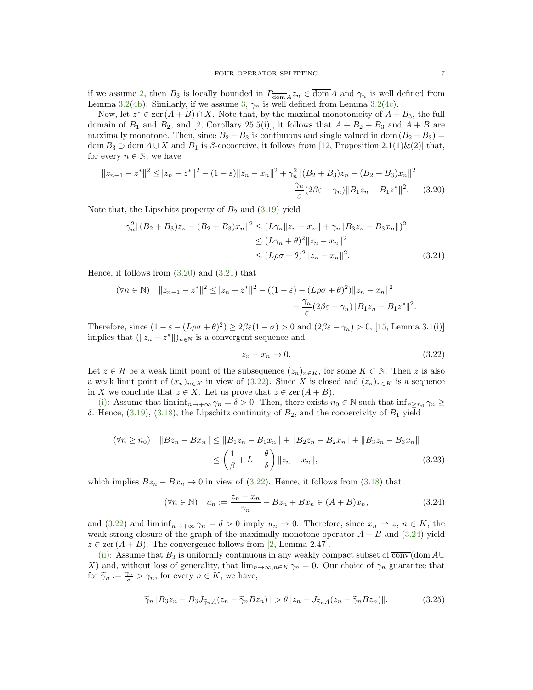if we assume [2,](#page-5-2) then  $B_3$  is locally bounded in  $P_{\overline{\text{dom}}} A z_n \in \text{dom } A$  and  $\gamma_n$  is well defined from Lemma [3.2\(](#page-2-5)[4b\)](#page-3-6). Similarly, if we assume [3,](#page-5-3)  $\gamma_n$  is well defined from Lemma [3.2](#page-2-5)[\(4c\)](#page-3-7).

Now, let  $z^* \in \text{zer}(A + B) \cap X$ . Note that, by the maximal monotonicity of  $A + B_3$ , the full domain of  $B_1$  and  $B_2$ , and [\[2,](#page-14-13) Corollary 25.5(i)], it follows that  $A + B_2 + B_3$  and  $A + B$  are maximally monotone. Then, since  $B_2 + B_3$  is continuous and single valued in dom  $(B_2 + B_3)$ dom  $B_3 \supset \text{dom } A \cup X$  and  $B_1$  is  $\beta$ -cocoercive, it follows from [\[12,](#page-14-12) Proposition 2.1(1)&(2)] that, for every  $n \in \mathbb{N}$ , we have

$$
||z_{n+1} - z^*||^2 \le ||z_n - z^*||^2 - (1 - \varepsilon)||z_n - x_n||^2 + \gamma_n^2 ||(B_2 + B_3)z_n - (B_2 + B_3)x_n||^2
$$
  

$$
- \frac{\gamma_n}{\varepsilon} (2\beta\varepsilon - \gamma_n) ||B_1 z_n - B_1 z^*||^2. \tag{3.20}
$$

Note that, the Lipschitz property of  $B_2$  and  $(3.19)$  yield

$$
\gamma_n^2 \|(B_2 + B_3)z_n - (B_2 + B_3)x_n\|^2 \le (L\gamma_n \|z_n - x_n\| + \gamma_n \|B_3 z_n - B_3 x_n\|)^2
$$
  
\n
$$
\le (L\gamma_n + \theta)^2 \|z_n - x_n\|^2
$$
  
\n
$$
\le (L\rho\sigma + \theta)^2 \|z_n - x_n\|^2.
$$
\n(3.21)

Hence, it follows from [\(3.20\)](#page-6-0) and [\(3.21\)](#page-6-1) that

$$
(\forall n \in \mathbb{N}) \quad \|z_{n+1} - z^*\|^2 \le \|z_n - z^*\|^2 - ((1 - \varepsilon) - (L\rho\sigma + \theta)^2)\|z_n - x_n\|^2
$$
  

$$
- \frac{\gamma_n}{\varepsilon} (2\beta\varepsilon - \gamma_n) \|B_1 z_n - B_1 z^*\|^2.
$$

Therefore, since  $(1 - \varepsilon - (L\rho\sigma + \theta)^2) \ge 2\beta\varepsilon(1 - \sigma) > 0$  and  $(2\beta\varepsilon - \gamma_n) > 0$ , [\[15,](#page-15-19) Lemma 3.1(i)] implies that  $(\Vert z_n - z^* \Vert)_{n \in \mathbb{N}}$  is a convergent sequence and

<span id="page-6-2"></span><span id="page-6-1"></span><span id="page-6-0"></span>
$$
z_n - x_n \to 0. \tag{3.22}
$$

Let  $z \in \mathcal{H}$  be a weak limit point of the subsequence  $(z_n)_{n \in K}$ , for some  $K \subset \mathbb{N}$ . Then z is also a weak limit point of  $(x_n)_{n\in K}$  in view of  $(3.22)$ . Since X is closed and  $(z_n)_{n\in K}$  is a sequence in X we conclude that  $z \in X$ . Let us prove that  $z \in \text{zer } (A + B)$ .

[\(i\):](#page-5-5) Assume that  $\liminf_{n\to+\infty}\gamma_n=\delta>0$ . Then, there exists  $n_0\in\mathbb{N}$  such that  $\inf_{n>n_0}\gamma_n\geq$ δ. Hence,  $(3.19)$ ,  $(3.18)$ , the Lipschitz continuity of  $B_2$ , and the cocoercivity of  $B_1$  yield

$$
(\forall n \ge n_0) \quad ||Bz_n - Bx_n|| \le ||B_1z_n - B_1x_n|| + ||B_2z_n - B_2x_n|| + ||B_3z_n - B_3x_n||
$$
  

$$
\le \left(\frac{1}{\beta} + L + \frac{\theta}{\delta}\right) ||z_n - x_n||, \tag{3.23}
$$

which implies  $Bz_n - Bx_n \to 0$  in view of [\(3.22\)](#page-6-2). Hence, it follows from [\(3.18\)](#page-5-6) that

<span id="page-6-3"></span>
$$
(\forall n \in \mathbb{N}) \quad u_n := \frac{z_n - x_n}{\gamma_n} - Bz_n + Bx_n \in (A + B)x_n,
$$
\n(3.24)

and [\(3.22\)](#page-6-2) and  $\liminf_{n\to+\infty}\gamma_n=\delta>0$  imply  $u_n\to 0$ . Therefore, since  $x_n\to z$ ,  $n\in K$ , the weak-strong closure of the graph of the maximally monotone operator  $A + B$  and [\(3.24\)](#page-6-3) yield  $z \in \text{zer } (A + B)$ . The convergence follows from [\[2,](#page-14-13) Lemma 2.47].

[\(ii\):](#page-5-7) Assume that  $B_3$  is uniformly continuous in any weakly compact subset of  $\overline{conv}(\text{dom }A\cup$ X) and, without loss of generality, that  $\lim_{n\to\infty,n\in K}\gamma_n=0$ . Our choice of  $\gamma_n$  guarantee that for  $\widetilde{\gamma}_n := \frac{\gamma_n}{\sigma} > \gamma_n$ , for every  $n \in K$ , we have,

<span id="page-6-4"></span>
$$
\widetilde{\gamma}_n \|B_3 z_n - B_3 J_{\widetilde{\gamma}_n A} (z_n - \widetilde{\gamma}_n B z_n) \| > \theta \|z_n - J_{\widetilde{\gamma}_n A} (z_n - \widetilde{\gamma}_n B z_n) \|.
$$
 (3.25)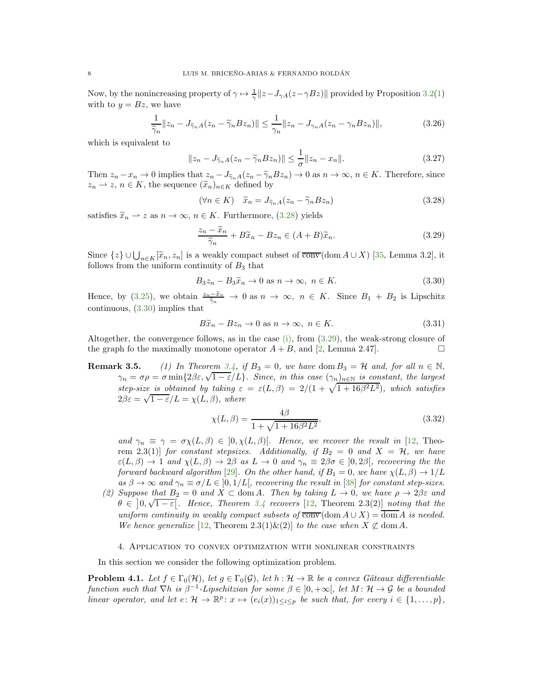Now, by the nonincreasing property of  $\gamma \mapsto \frac{1}{\gamma} ||z - J_{\gamma A}(z - \gamma Bz)||$  provided by Proposition [3.2](#page-2-5)[\(1\)](#page-2-2) with to  $y = Bz$ , we have

$$
\frac{1}{\widetilde{\gamma}_n} \|z_n - J_{\widetilde{\gamma}_n A}(z_n - \widetilde{\gamma}_n B z_n)\| \le \frac{1}{\gamma_n} \|z_n - J_{\gamma_n A}(z_n - \gamma_n B z_n)\|,
$$
\n(3.26)

which is equivalent to

$$
||z_n - J_{\widetilde{\gamma}_n A}(z_n - \widetilde{\gamma}_n B z_n)|| \le \frac{1}{\sigma} ||z_n - x_n||. \tag{3.27}
$$

Then  $z_n - x_n \to 0$  implies that  $z_n - J_{\tilde{\gamma}_n}A(z_n - \tilde{\gamma}_nBz_n) \to 0$  as  $n \to \infty$ ,  $n \in K$ . Therefore, since  $z_n \rightharpoonup z, n \in K$ , the sequence  $(\widetilde{x}_n)_{n \in K}$  defined by

<span id="page-7-1"></span>
$$
(\forall n \in K) \quad \tilde{x}_n = J_{\tilde{\gamma}_n A}(z_n - \tilde{\gamma}_n B z_n)
$$
\n(3.28)

satisfies  $\tilde{x}_n \rightharpoonup z$  as  $n \to \infty$ ,  $n \in K$ . Furthermore, [\(3.28\)](#page-7-1) yields

<span id="page-7-3"></span>
$$
\frac{z_n - \widetilde{x}_n}{\widetilde{\gamma}_n} + B\widetilde{x}_n - Bz_n \in (A+B)\widetilde{x}_n.
$$
\n(3.29)

Since  $\{z\} \cup \bigcup_{n \in K} [\tilde{x}_n, z_n]$  is a weakly compact subset of  $\overline{conv}(\text{dom }A \cup X)$  [\[35,](#page-15-20) Lemma 3.2], it follows from the uniform continuity of  $B_3$  that

<span id="page-7-2"></span>
$$
B_3 z_n - B_3 \tilde{x}_n \to 0 \text{ as } n \to \infty, n \in K. \tag{3.30}
$$

Hence, by [\(3.25\)](#page-6-4), we obtain  $\frac{z_n-\widetilde{x}_n}{\widetilde{\gamma}_n} \to 0$  as  $n \to \infty$ ,  $n \in K$ . Since  $B_1 + B_2$  is Lipschitz continuous, [\(3.30\)](#page-7-2) implies that

$$
B\tilde{x}_n - Bz_n \to 0 \text{ as } n \to \infty, \ n \in K. \tag{3.31}
$$

Altogether, the convergence follows, as in the case [\(i\),](#page-5-5) from [\(3.29\)](#page-7-3), the weak-strong closure of the graph fo the maximally monotone operator  $A + B$ , and [\[2,](#page-14-13) Lemma 2.47].

**Remark 3.5.** (1) In Theorem [3.4,](#page-5-8) if  $B_3 = 0$ , we have dom  $B_3 = H$  and, for all  $n \in \mathbb{N}$ ,  $\gamma_n = \sigma \rho = \sigma \min\{2\beta\varepsilon, \sqrt{1-\varepsilon}/L\}$ . Since, in this case  $(\gamma_n)_{n\in\mathbb{N}}$  is constant, the largest step-size is obtained by taking  $\varepsilon = \varepsilon(L,\beta) = 2/(1 + \sqrt{1 + 16\beta^2 L^2})$ , which satisfies  $2\beta\varepsilon = \sqrt{1-\varepsilon}/L = \chi(L,\beta)$ , where

$$
\chi(L,\beta) = \frac{4\beta}{1 + \sqrt{1 + 16\beta^2 L^2}},\tag{3.32}
$$

and  $\gamma_n \equiv \gamma = \sigma \chi(L, \beta) \in [0, \chi(L, \beta)]$ . Hence, we recover the result in [\[12,](#page-14-12) Theorem 2.3(1)] for constant stepsizes. Additionally, if  $B_2 = 0$  and  $X = H$ , we have  $\varepsilon(L,\beta) \to 1$  and  $\chi(L,\beta) \to 2\beta$  as  $L \to 0$  and  $\gamma_n \equiv 2\beta\sigma \in ]0,2\beta[$ , recovering the the forward backward algorithm [\[29\]](#page-15-21). On the other hand, if  $B_1 = 0$ , we have  $\chi(L,\beta) \to 1/L$ as  $\beta \to \infty$  and  $\gamma_n \equiv \sigma/L \in ]0, 1/L[$ , recovering the result in [\[38\]](#page-16-1) for constant step-sizes.

(2) Suppose that  $B_2 = 0$  and  $X \subset \text{dom } A$ . Then by taking  $L \to 0$ , we have  $\rho \to 2\beta\varepsilon$  and  $\theta \in ]0,\sqrt{1-\varepsilon}[\text{. Hence, Theorem 3.4 recovers [12, Theorem 2.3(2)] noting that the }$  $\theta \in ]0,\sqrt{1-\varepsilon}[\text{. Hence, Theorem 3.4 recovers [12, Theorem 2.3(2)] noting that the }$  $\theta \in ]0,\sqrt{1-\varepsilon}[\text{. Hence, Theorem 3.4 recovers [12, Theorem 2.3(2)] noting that the }$  $\theta \in ]0,\sqrt{1-\varepsilon}[\text{. Hence, Theorem 3.4 recovers [12, Theorem 2.3(2)] noting that the }$  $\theta \in ]0,\sqrt{1-\varepsilon}[\text{. Hence, Theorem 3.4 recovers [12, Theorem 2.3(2)] noting that the }$ uniform continuity in weakly compact subsets of  $\overline{conv}(\text{dom } A \cup X) = \text{dom } A$  is needed. We hence generalize [\[12,](#page-14-12) Theorem 2.3(1)&(2)] to the case when  $X \not\subset \text{dom } A$ .

# 4. Application to convex optimization with nonlinear constraints

<span id="page-7-0"></span>In this section we consider the following optimization problem.

<span id="page-7-4"></span>**Problem 4.1.** Let  $f \in \Gamma_0(\mathcal{H})$ , let  $g \in \Gamma_0(\mathcal{G})$ , let  $h : \mathcal{H} \to \mathbb{R}$  be a convex Gâteaux differentiable function such that  $\nabla h$  is  $\beta^{-1}$ -Lipschitzian for some  $\beta \in ]0, +\infty[$ , let  $M: \mathcal{H} \to \mathcal{G}$  be a bounded linear operator, and let  $e: \mathcal{H} \to \mathbb{R}^p: x \mapsto (e_i(x))_{1 \leq i \leq p}$  be such that, for every  $i \in \{1, ..., p\}$ ,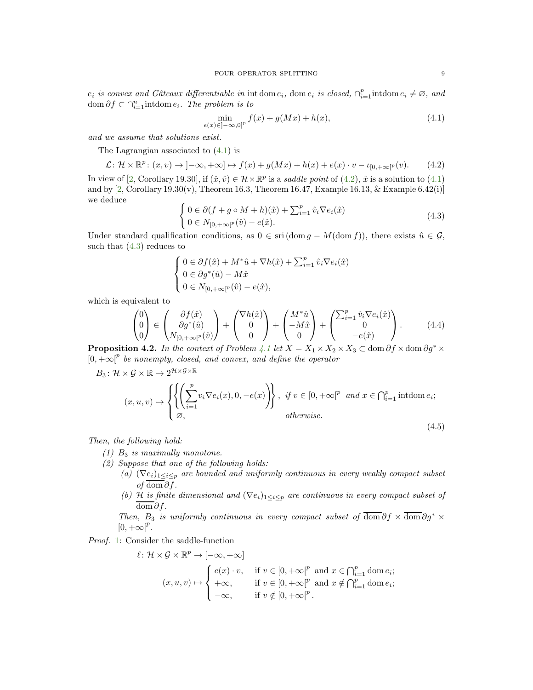$e_i$  is convex and Gâteaux differentiable in int dom  $e_i$ , dom  $e_i$  is closed,  $\bigcap_{i=1}^p$  intdom  $e_i \neq \emptyset$ , and dom  $\partial f \subset \bigcap_{i=1}^n \text{intdom } e_i$ . The problem is to

<span id="page-8-0"></span>
$$
\min_{e(x)\in]-\infty,0]^p} f(x) + g(Mx) + h(x),\tag{4.1}
$$

and we assume that solutions exist.

The Lagrangian associated to [\(4.1\)](#page-8-0) is

<span id="page-8-1"></span>
$$
\mathcal{L}: \mathcal{H} \times \mathbb{R}^p : (x, v) \to ]-\infty, +\infty] \mapsto f(x) + g(Mx) + h(x) + e(x) \cdot v - \iota_{[0, +\infty[^p]}(v). \tag{4.2}
$$

In view of [\[2,](#page-14-13) Corollary 19.30], if  $(\hat{x}, \hat{v}) \in \mathcal{H} \times \mathbb{R}^p$  is a saddle point of  $(4.2)$ ,  $\hat{x}$  is a solution to  $(4.1)$ and by  $[2, Corollary 19.30(v), Theorem 16.3, Theorem 16.47, Example 16.13, & Example 6.42(i)]$ we deduce

<span id="page-8-2"></span>
$$
\begin{cases} 0 \in \partial (f + g \circ M + h)(\hat{x}) + \sum_{i=1}^{p} \hat{v}_i \nabla e_i(\hat{x}) \\ 0 \in N_{[0, +\infty[^p}(\hat{v}) - e(\hat{x}). \end{cases}
$$
\n(4.3)

Under standard qualification conditions, as  $0 \in \text{sri}(\text{dom } g - M(\text{dom } f))$ , there exists  $\hat{u} \in \mathcal{G}$ , such that  $(4.3)$  reduces to

<span id="page-8-8"></span>
$$
\begin{cases} 0\in \partial f(\hat{x})+M^*\hat{u}+\nabla h(\hat{x})+\sum_{i=1}^p\hat{v}_i\nabla e_i(\hat{x})\\ 0\in \partial g^*(\hat{u})-M\hat{x}\\ 0\in N_{[0,+\infty[^p}(\hat{v})-e(\hat{x}), \end{cases}
$$

which is equivalent to

<span id="page-8-9"></span>
$$
\begin{pmatrix} 0 \\ 0 \\ 0 \end{pmatrix} \in \begin{pmatrix} \partial f(\hat{x}) \\ \partial g^*(\hat{u}) \\ N_{[0, +\infty[^p}(\hat{v})) \end{pmatrix} + \begin{pmatrix} \nabla h(\hat{x}) \\ 0 \\ 0 \end{pmatrix} + \begin{pmatrix} M^*\hat{u} \\ -M\hat{x} \\ 0 \end{pmatrix} + \begin{pmatrix} \sum_{i=1}^p \hat{v}_i \nabla e_i(\hat{x}) \\ 0 \\ -e(\hat{x}) \end{pmatrix}.
$$
 (4.4)

<span id="page-8-7"></span>**Proposition 4.2.** In the context of Problem [4.1](#page-7-4) let  $X = X_1 \times X_2 \times X_3 \subset \text{dom } \partial f \times \text{dom } \partial g^* \times$  $[0, +\infty]^p$  be nonempty, closed, and convex, and define the operator

$$
B_3: \mathcal{H} \times \mathcal{G} \times \mathbb{R} \to 2^{\mathcal{H} \times \mathcal{G} \times \mathbb{R}}
$$
  

$$
(x, u, v) \mapsto \left\{ \left\{ \left( \sum_{i=1}^p v_i \nabla e_i(x), 0, -e(x) \right) \right\}, \text{ if } v \in [0, +\infty]^p \text{ and } x \in \bigcap_{i=1}^p \text{ into } e_i;
$$
  
*otherwise.* (4.5)

<span id="page-8-4"></span><span id="page-8-3"></span>Then, the following hold:

- (1)  $B_3$  is maximally monotone.
- <span id="page-8-6"></span><span id="page-8-5"></span>(2) Suppose that one of the following holds:
	- (a)  $(\nabla e_i)_{1 \leq i \leq p}$  are bounded and uniformly continuous in every weakly compact subset *of* dom  $\partial f$ .
	- (b) H is finite dimensional and  $(\nabla e_i)_{1 \leq i \leq p}$  are continuous in every compact subset of  $\overline{\text{dom}} \partial f$ .

Then, B<sub>3</sub> is uniformly continuous in every compact subset of  $\overline{\text{dom}} \partial f \times \overline{\text{dom}} \partial g^*$  $[0, +\infty[^p]$ .

Proof. [1:](#page-8-3) Consider the saddle-function

$$
\ell: \mathcal{H} \times \mathcal{G} \times \mathbb{R}^p \to [-\infty, +\infty]
$$
  

$$
(x, u, v) \mapsto \begin{cases} e(x) \cdot v, & \text{if } v \in [0, +\infty]^p \text{ and } x \in \bigcap_{i=1}^p \text{dom } e_i; \\ +\infty, & \text{if } v \in [0, +\infty]^p \text{ and } x \notin \bigcap_{i=1}^p \text{dom } e_i; \\ -\infty, & \text{if } v \notin [0, +\infty]^p. \end{cases}
$$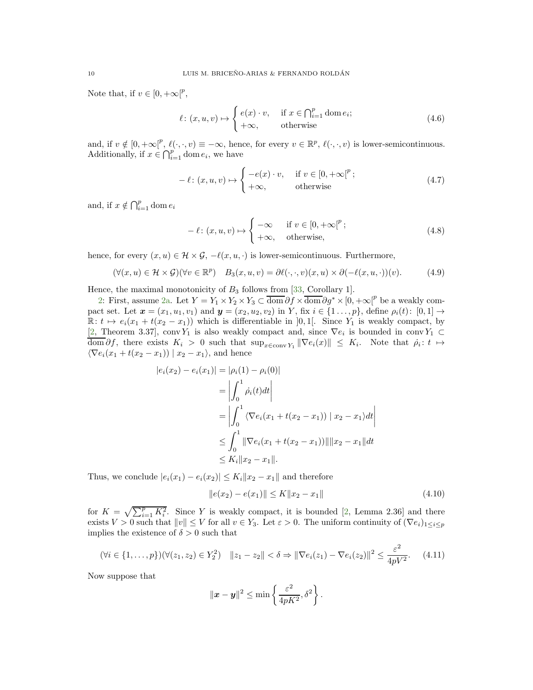Note that, if  $v \in [0, +\infty[^p,$ 

$$
\ell \colon (x, u, v) \mapsto \begin{cases} e(x) \cdot v, & \text{if } x \in \bigcap_{i=1}^{p} \text{dom } e_i; \\ +\infty, & \text{otherwise} \end{cases}
$$
(4.6)

and, if  $v \notin [0, +\infty]^p$ ,  $\ell(\cdot, \cdot, v) \equiv -\infty$ , hence, for every  $v \in \mathbb{R}^p$ ,  $\ell(\cdot, \cdot, v)$  is lower-semicontinuous. Additionally, if  $x \in \bigcap_{i=1}^p \text{dom } e_i$ , we have

$$
-\ell: (x, u, v) \mapsto \begin{cases} -e(x) \cdot v, & \text{if } v \in [0, +\infty[^p; \\ +\infty, & \text{otherwise} \end{cases}
$$
(4.7)

and, if  $x \notin \bigcap_{i=1}^p \text{dom } e_i$ 

$$
-\ell : (x, u, v) \mapsto \begin{cases} -\infty & \text{if } v \in [0, +\infty[^p; \\ +\infty, & \text{otherwise,} \end{cases}
$$
(4.8)

hence, for every  $(x, u) \in \mathcal{H} \times \mathcal{G}$ ,  $-\ell(x, u, \cdot)$  is lower-semicontinuous. Furthermore,

$$
(\forall (x, u) \in \mathcal{H} \times \mathcal{G})(\forall v \in \mathbb{R}^p) \quad B_3(x, u, v) = \partial \ell(\cdot, \cdot, v)(x, u) \times \partial (-\ell(x, u, \cdot))(v). \tag{4.9}
$$

Hence, the maximal monotonicity of  $B_3$  follows from [\[33,](#page-15-22) Corollary 1].

[2:](#page-8-4) First, assume [2a.](#page-8-5) Let  $Y = Y_1 \times Y_2 \times Y_3 \subset \overline{\text{dom}} \partial f \times \overline{\text{dom}} \partial g^* \times [0, +\infty]^p$  be a weakly compact set. Let  $x = (x_1, u_1, v_1)$  and  $y = (x_2, u_2, v_2)$  in Y, fix  $i \in \{1, ..., p\}$ , define  $\rho_i(t)$ :  $[0, 1] \rightarrow$  $\mathbb{R}: t \mapsto e_i(x_1 + t(x_2 - x_1))$  which is differentiable in  $]0, 1[$ . Since  $Y_1$  is weakly compact, by [\[2,](#page-14-13) Theorem 3.37], conv $Y_1$  is also weakly compact and, since  $\nabla e_i$  is bounded in conv $Y_1 \subset$  $\text{dom }\partial f$ , there exists  $K_i > 0$  such that  $\sup_{x \in \text{conv } Y_1} \|\nabla e_i(x)\| \leq K_i$ . Note that  $\dot{\rho}_i : t \mapsto$  $\langle \nabla e_i(x_1 + t(x_2 - x_1)) | x_2 - x_1 \rangle$ , and hence

$$
|e_i(x_2) - e_i(x_1)| = |\rho_i(1) - \rho_i(0)|
$$
  
=  $\left| \int_0^1 \dot{\rho}_i(t) dt \right|$   
=  $\left| \int_0^1 \langle \nabla e_i(x_1 + t(x_2 - x_1)) | x_2 - x_1 \rangle dt \right|$   
 $\leq \int_0^1 \|\nabla e_i(x_1 + t(x_2 - x_1))\| \|x_2 - x_1\| dt$   
 $\leq K_i \|x_2 - x_1\|.$ 

Thus, we conclude  $|e_i(x_1) - e_i(x_2)| \le K_i ||x_2 - x_1||$  and therefore

<span id="page-9-0"></span>
$$
||e(x_2) - e(x_1)|| \le K||x_2 - x_1|| \tag{4.10}
$$

 $\begin{array}{c} \hline \end{array}$  $\overline{\phantom{a}}$  $\overline{\phantom{a}}$  $\overline{\phantom{a}}$ 

for  $K = \sqrt{\sum_{i=1}^{p} K_i^2}$ . Since Y is weakly compact, it is bounded [\[2,](#page-14-13) Lemma 2.36] and there exists  $V > 0$  such that  $||v|| \leq V$  for all  $v \in Y_3$ . Let  $\varepsilon > 0$ . The uniform continuity of  $(\nabla e_i)_{1 \leq i \leq p}$ implies the existence of  $\delta > 0$  such that

<span id="page-9-1"></span>
$$
(\forall i \in \{1, ..., p\})(\forall (z_1, z_2) \in Y_2^2) \quad ||z_1 - z_2|| < \delta \Rightarrow ||\nabla e_i(z_1) - \nabla e_i(z_2)||^2 \le \frac{\varepsilon^2}{4pV^2}.\tag{4.11}
$$

Now suppose that

$$
\|\boldsymbol{x}-\boldsymbol{y}\|^2 \leq \min\left\{\frac{\varepsilon^2}{4pK^2},\delta^2\right\}.
$$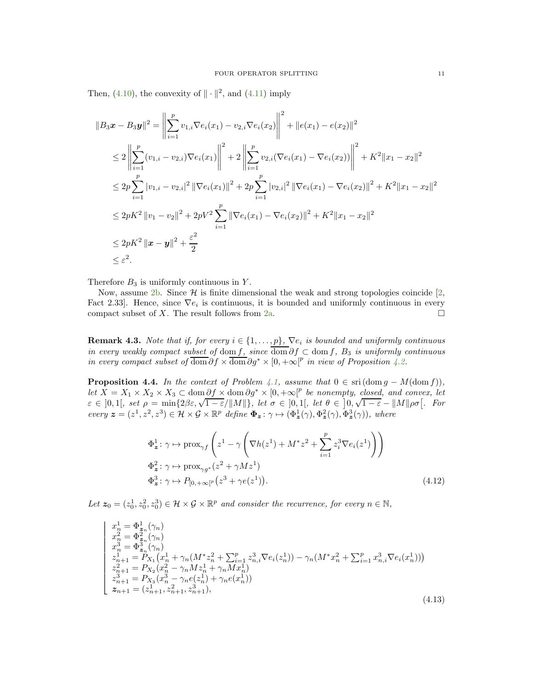Then, [\(4.10\)](#page-9-0), the convexity of  $\|\cdot\|^2$ , and [\(4.11\)](#page-9-1) imply

$$
||B_3x - B_3y||^2 = \left\| \sum_{i=1}^p v_{1,i} \nabla e_i(x_1) - v_{2,i} \nabla e_i(x_2) \right\|^2 + ||e(x_1) - e(x_2)||^2
$$
  
\n
$$
\leq 2 \left\| \sum_{i=1}^p (v_{1,i} - v_{2,i}) \nabla e_i(x_1) \right\|^2 + 2 \left\| \sum_{i=1}^p v_{2,i} (\nabla e_i(x_1) - \nabla e_i(x_2)) \right\|^2 + K^2 ||x_1 - x_2||^2
$$
  
\n
$$
\leq 2p \sum_{i=1}^p |v_{1,i} - v_{2,i}|^2 ||\nabla e_i(x_1)||^2 + 2p \sum_{i=1}^p |v_{2,i}|^2 ||\nabla e_i(x_1) - \nabla e_i(x_2)||^2 + K^2 ||x_1 - x_2||^2
$$
  
\n
$$
\leq 2pK^2 ||v_1 - v_2||^2 + 2pV^2 \sum_{i=1}^p ||\nabla e_i(x_1) - \nabla e_i(x_2)||^2 + K^2 ||x_1 - x_2||^2
$$
  
\n
$$
\leq 2pK^2 ||x - y||^2 + \frac{\varepsilon^2}{2}
$$
  
\n
$$
\leq \varepsilon^2.
$$

Therefore  $B_3$  is uniformly continuous in Y.

Now, assume [2b.](#page-8-6) Since  $\mathcal{H}$  is finite dimensional the weak and strong topologies coincide [\[2,](#page-14-13) Fact 2.33. Hence, since  $\nabla e_i$  is continuous, it is bounded and uniformly continuous in every compact subset of X. The result follows from [2a.](#page-8-5)  $\Box$ 

**Remark 4.3.** Note that if, for every  $i \in \{1, \ldots, p\}$ ,  $\nabla e_i$  is bounded and uniformly continuous in every weakly compact subset of dom f, since  $\overline{\text{dom}} \partial f \subset \text{dom } f$ ,  $B_3$  is uniformly continuous in every compact subset of  $\overline{\text{dom}} \partial f \times \overline{\text{dom}} \partial g^* \times [0, +\infty]^p$  in view of Proposition [4.2.](#page-8-7)

**Proposition 4.4.** In the context of Problem [4.1,](#page-7-4) assume that  $0 \in \text{sri}(\text{dom } g - M(\text{dom } f)),$ Let  $\overline{X} = X_1 \times X_2 \times X_3 \subset \text{dom} \partial f \times \text{dom} \partial g^* \times [0, +\infty]^p$  be nonempty, closed, and convex, let  $\varepsilon \in [0,1[$ , set  $\rho = \min\{2\beta\varepsilon, \sqrt{1-\varepsilon}/\|M\|\}$ , let  $\sigma \in [0,1[$ , let  $\theta \in [0, \sqrt{1-\varepsilon} - \|M\|\rho\sigma]$ . For every  $\mathbf{z} = (z^1, z^2, z^3) \in \mathcal{H} \times \mathcal{G} \times \mathbb{R}^p$  define  $\mathbf{\Phi}_{\mathbf{z}} : \gamma \mapsto (\Phi_{\mathbf{z}}^1(\gamma), \Phi_{\mathbf{z}}^2(\gamma), \Phi_{\mathbf{z}}^3(\gamma))$ , where

<span id="page-10-0"></span>
$$
\Phi_z^1: \gamma \mapsto \text{prox}_{\gamma f}\left(z^1 - \gamma \left(\nabla h(z^1) + M^* z^2 + \sum_{i=1}^p z_i^3 \nabla e_i(z^1)\right)\right)
$$
  
\n
$$
\Phi_z^2: \gamma \mapsto \text{prox}_{\gamma g^*}(z^2 + \gamma M z^1)
$$
  
\n
$$
\Phi_z^3: \gamma \mapsto P_{[0, +\infty[^p}(z^3 + \gamma e(z^1))).
$$
\n(4.12)

Let  $z_0 = (z_0^1, z_0^2, z_0^3) \in \mathcal{H} \times \mathcal{G} \times \mathbb{R}^p$  and consider the recurrence, for every  $n \in \mathbb{N}$ ,

<span id="page-10-1"></span>
$$
\begin{vmatrix}\nx_n^1 = \Phi_{\mathbf{z}_n}^1(\gamma_n) \\
x_n^2 = \Phi_{\mathbf{z}_n}^2(\gamma_n) \\
x_n^3 = \Phi_{\mathbf{z}_n}^3(\gamma_n) \\
z_{n+1}^1 = P_{X_1}(x_n^1 + \gamma_n(M^*z_n^2 + \sum_{i=1}^p z_{n,i}^3 \nabla e_i(z_n^1)) - \gamma_n(M^*x_n^2 + \sum_{i=1}^p x_{n,i}^3 \nabla e_i(x_n^1))) \\
z_{n+1}^2 = P_{X_2}(x_n^2 - \gamma_n M z_n^1 + \gamma_n M x_n^1) \\
z_{n+1}^3 = P_{X_3}(x_n^3 - \gamma_n e(z_n^1) + \gamma_n e(x_n^1)) \\
z_{n+1} = (z_{n+1}^1, z_{n+1}^2, z_{n+1}^3),\n\end{vmatrix}
$$
\n(4.13)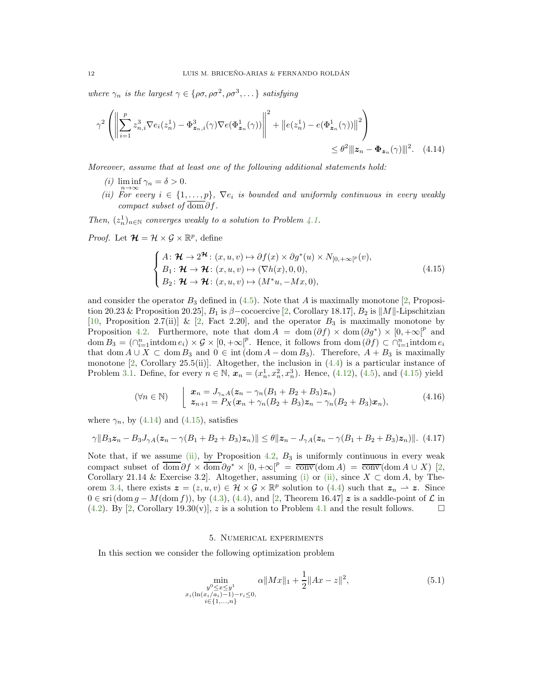where  $\gamma_n$  is the largest  $\gamma \in {\rho\sigma, \rho\sigma^2, \rho\sigma^3, \dots}$  satisfying

$$
\gamma^2 \left( \left\| \sum_{i=1}^p z_{n,i}^3 \nabla e_i(z_n^1) - \Phi_{\mathbf{z}_n, i}^3(\gamma) \nabla e(\Phi_{\mathbf{z}_n}^1(\gamma)) \right\|^2 + \left\| e(z_n^1) - e(\Phi_{\mathbf{z}_n}^1(\gamma)) \right\|^2 \right) \leq \theta^2 \| \mathbf{z}_n - \Phi_{\mathbf{z}_n}(\gamma) \|^2. \tag{4.14}
$$

<span id="page-11-4"></span>Moreover, assume that at least one of the following additional statements hold:

- (*i*)  $\liminf_{n\to\infty} \gamma_n = \delta > 0.$
- <span id="page-11-3"></span>(ii) For every  $i \in \{1, \ldots, p\}$ ,  $\nabla e_i$  is bounded and uniformly continuous in every weakly compact subset of dom  $\partial f$ .

Then,  $(z_n^1)_{n \in \mathbb{N}}$  converges weakly to a solution to Problem [4.1.](#page-7-4)

*Proof.* Let  $\mathcal{H} = \mathcal{H} \times \mathcal{G} \times \mathbb{R}^p$ , define

<span id="page-11-2"></span><span id="page-11-1"></span>
$$
\begin{cases}\nA: \mathcal{H} \to 2^{\mathcal{H}}: (x, u, v) \mapsto \partial f(x) \times \partial g^*(u) \times N_{[0, +\infty[^p]}(v), \\
B_1: \mathcal{H} \to \mathcal{H}: (x, u, v) \mapsto (\nabla h(x), 0, 0), \\
B_2: \mathcal{H} \to \mathcal{H}: (x, u, v) \mapsto (M^*u, -Mx, 0),\n\end{cases} \tag{4.15}
$$

and consider the operator  $B_3$  defined in [\(4.5\)](#page-8-8). Note that A is maximally monotone [\[2,](#page-14-13) Proposition 20.23 & Proposition 20.25],  $B_1$  is  $\beta$ −cocoercive [\[2,](#page-14-13) Corollary 18.17],  $B_2$  is  $||M||$ -Lipschitzian [\[10,](#page-14-7) Proposition 2.7(ii)] & [\[2,](#page-14-13) Fact 2.20], and the operator  $B_3$  is maximally monotone by Proposition [4.2.](#page-8-7) Furthermore, note that dom  $A = \text{dom}(\partial f) \times \text{dom}(\partial g^*) \times [0, +\infty]^p$  and  $\text{dom } B_3 = (\bigcap_{i=1}^n \text{intdom } e_i) \times \mathcal{G} \times [0, +\infty]^p$ . Hence, it follows from  $\text{dom } (\partial f) \subset \bigcap_{i=1}^n \text{intdom } e_i$ that dom  $A \cup X \subset \text{dom } B_3$  and  $0 \in \text{int } (\text{dom } A - \text{dom } B_3)$ . Therefore,  $A + B_3$  is maximally monotone [\[2,](#page-14-13) Corollary 25.5(ii)]. Altogether, the inclusion in [\(4.4\)](#page-8-9) is a particular instance of Problem [3.1.](#page-2-1) Define, for every  $n \in \mathbb{N}$ ,  $x_n = (x_n^1, x_n^2, x_n^3)$ . Hence, [\(4.12\)](#page-10-0), [\(4.5\)](#page-8-8), and [\(4.15\)](#page-11-1) yield

$$
(\forall n \in \mathbb{N}) \qquad \begin{array}{l} x_n = J_{\gamma_n A}(z_n - \gamma_n (B_1 + B_2 + B_3) z_n) \\ z_{n+1} = P_X(x_n + \gamma_n (B_2 + B_3) z_n - \gamma_n (B_2 + B_3) x_n), \end{array} \tag{4.16}
$$

where  $\gamma_n$ , by [\(4.14\)](#page-11-2) and [\(4.15\)](#page-11-1), satisfies

$$
\gamma \|B_3 z_n - B_3 J_{\gamma A} (z_n - \gamma (B_1 + B_2 + B_3) z_n) \| \le \theta \|z_n - J_{\gamma A} (z_n - \gamma (B_1 + B_2 + B_3) z_n) \|.
$$
 (4.17)

Note that, if we assume [\(ii\),](#page-11-3) by Proposition [4.2,](#page-8-7)  $B_3$  is uniformly continuous in every weak compact subset of  $\overline{\text{dom}} \partial f \times \overline{\text{dom}} \partial g^* \times [0, +\infty]^p = \overline{\text{conv}}(\text{dom } A) = \overline{\text{conv}}(\text{dom } A \cup X)$  [\[2,](#page-14-13) Corollary 21.14 & Exercise 3.2]. Altogether, assuming [\(i\)](#page-11-4) or [\(ii\),](#page-11-3) since  $X \subset \text{dom } A$ , by The-orem [3.4,](#page-5-8) there exists  $\boldsymbol{z} = (z, u, v) \in \mathcal{H} \times \mathcal{G} \times \mathbb{R}^p$  solution to [\(4.4\)](#page-8-9) such that  $z_n \to z$ . Since  $0 \in \text{sri}(\text{dom } g - M(\text{dom } f)), \text{ by } (4.3), (4.4), \text{ and } [2, \text{ Theorem 16.47}] \text{ z is a saddle-point of } \mathcal{L} \text{ in } (4.2). \text{ By [2, Corollary 19.30(v)], z is a solution to Problem 4.1 and the result follows. } \Box$  $0 \in \text{sri}(\text{dom } g - M(\text{dom } f)), \text{ by } (4.3), (4.4), \text{ and } [2, \text{ Theorem 16.47}] \text{ z is a saddle-point of } \mathcal{L} \text{ in } (4.2). \text{ By [2, Corollary 19.30(v)], z is a solution to Problem 4.1 and the result follows. } \Box$  $0 \in \text{sri}(\text{dom } g - M(\text{dom } f)), \text{ by } (4.3), (4.4), \text{ and } [2, \text{ Theorem 16.47}] \text{ z is a saddle-point of } \mathcal{L} \text{ in } (4.2). \text{ By [2, Corollary 19.30(v)], z is a solution to Problem 4.1 and the result follows. } \Box$  $0 \in \text{sri}(\text{dom } g - M(\text{dom } f)), \text{ by } (4.3), (4.4), \text{ and } [2, \text{ Theorem 16.47}] \text{ z is a saddle-point of } \mathcal{L} \text{ in } (4.2). \text{ By [2, Corollary 19.30(v)], z is a solution to Problem 4.1 and the result follows. } \Box$  $0 \in \text{sri}(\text{dom } g - M(\text{dom } f)), \text{ by } (4.3), (4.4), \text{ and } [2, \text{ Theorem 16.47}] \text{ z is a saddle-point of } \mathcal{L} \text{ in } (4.2). \text{ By [2, Corollary 19.30(v)], z is a solution to Problem 4.1 and the result follows. } \Box$  $0 \in \text{sri}(\text{dom } g - M(\text{dom } f)), \text{ by } (4.3), (4.4), \text{ and } [2, \text{ Theorem 16.47}] \text{ z is a saddle-point of } \mathcal{L} \text{ in } (4.2). \text{ By [2, Corollary 19.30(v)], z is a solution to Problem 4.1 and the result follows. } \Box$  $0 \in \text{sri}(\text{dom } g - M(\text{dom } f)), \text{ by } (4.3), (4.4), \text{ and } [2, \text{ Theorem 16.47}] \text{ z is a saddle-point of } \mathcal{L} \text{ in } (4.2). \text{ By [2, Corollary 19.30(v)], z is a solution to Problem 4.1 and the result follows. } \Box$  $(4.2)$ . By [\[2,](#page-14-13) Corollary 19.30(v)], z is a solution to Problem [4.1](#page-7-4) and the result follows.

#### 5. Numerical experiments

<span id="page-11-0"></span>In this section we consider the following optimization problem

<span id="page-11-5"></span>
$$
\min_{\substack{y^0 \le x \le y^1 \\ x_i(\ln(x_i/a_i)-1)-r_i \le 0, \\ i \in \{1,\dots,n\} }} \alpha \|Mx\|_1 + \frac{1}{2} \|Ax - z\|^2,\tag{5.1}
$$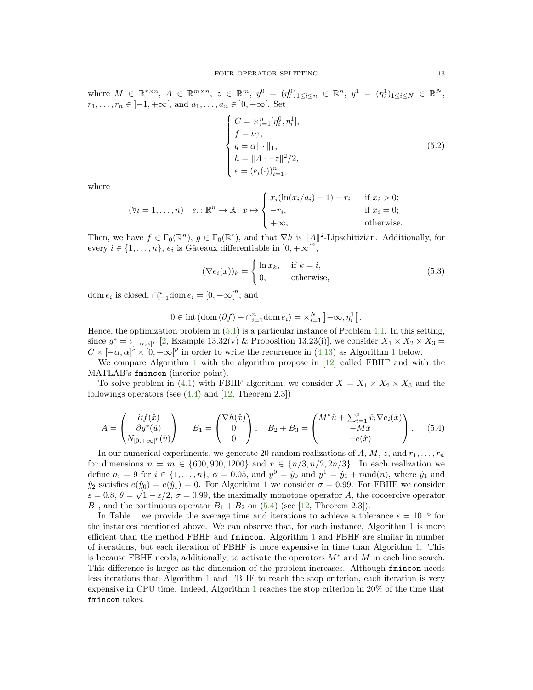where  $M \in \mathbb{R}^{r \times n}$ ,  $A \in \mathbb{R}^{m \times n}$ ,  $z \in \mathbb{R}^m$ ,  $y^0 = (\eta_i^0)_{1 \le i \le n} \in \mathbb{R}^n$ ,  $y^1 = (\eta_i^1)_{1 \le i \le N} \in \mathbb{R}^N$ ,  $r_1, \ldots, r_n \in ]-1, +\infty[$ , and  $a_1, \ldots, a_n \in ]0, +\infty[$ . Set

$$
\begin{cases}\nC = \times_{i=1}^{n} [\eta_i^0, \eta_i^1], \\
f = \iota_C, \\
g = \alpha \|\cdot\|_1, \\
h = \|A - z\|^2 / 2, \\
e = (e_i(\cdot))_{i=1}^n,\n\end{cases} (5.2)
$$

where

$$
(\forall i = 1, ..., n) \quad e_i \colon \mathbb{R}^n \to \mathbb{R} \colon x \mapsto \begin{cases} x_i(\ln(x_i/a_i) - 1) - r_i, & \text{if } x_i > 0; \\ -r_i, & \text{if } x_i = 0; \\ +\infty, & \text{otherwise.} \end{cases}
$$

Then, we have  $f \in \Gamma_0(\mathbb{R}^n)$ ,  $g \in \Gamma_0(\mathbb{R}^r)$ , and that  $\nabla h$  is  $||A||^2$ -Lipschitizian. Additionally, for every  $i \in \{1, ..., n\}$ ,  $e_i$  is Gâteaux differentiable in  $]0, +\infty[^n$ ,

$$
(\nabla e_i(x))_k = \begin{cases} \ln x_k, & \text{if } k = i, \\ 0, & \text{otherwise,} \end{cases}
$$
 (5.3)

dom  $e_i$  is closed,  $\bigcap_{i=1}^n$ dom  $e_i = [0, +\infty]^n$ , and

$$
0 \in \mathrm{int}\left(\mathrm{dom}\left(\partial f\right) - \bigcap_{i=1}^{n} \mathrm{dom}\, e_i\right) = \times_{i=1}^{N} \left] -\infty, \eta_i^1 \right[.
$$

Hence, the optimization problem in [\(5.1\)](#page-11-5) is a particular instance of Problem [4.1.](#page-7-4) In this setting, since  $g^* = \iota_{[-\alpha,\alpha]^r}$  [\[2,](#page-14-13) Example 13.32(v) & Proposition 13.23(i)], we consider  $X_1 \times X_2 \times X_3 =$  $C \times [-\alpha, \alpha]^r \times [0, +\infty]^p$  in order to write the recurrence in [\(4.13\)](#page-10-1) as Algorithm [1](#page-13-0) below.

We compare Algorithm [1](#page-13-0) with the algorithm propose in [\[12\]](#page-14-12) called FBHF and with the MATLAB's fmincon (interior point).

To solve problem in [\(4.1\)](#page-8-0) with FBHF algorithm, we consider  $X = X_1 \times X_2 \times X_3$  and the followings operators (see  $(4.4)$  and  $[12,$  Theorem 2.3])

<span id="page-12-0"></span>
$$
A = \begin{pmatrix} \partial f(\hat{x}) \\ \partial g^*(\hat{u}) \\ N_{[0, +\infty[^p}(\hat{v}) \end{pmatrix}, \quad B_1 = \begin{pmatrix} \nabla h(\hat{x}) \\ 0 \\ 0 \end{pmatrix}, \quad B_2 + B_3 = \begin{pmatrix} M^*\hat{u} + \sum_{i=1}^p \hat{v}_i \nabla e_i(\hat{x}) \\ -M\hat{x} \\ -e(\hat{x}) \end{pmatrix}.
$$
 (5.4)

In our numerical experiments, we generate 20 random realizations of A, M, z, and  $r_1, \ldots, r_n$ for dimensions  $n = m \in \{600, 900, 1200\}$  and  $r \in \{n/3, n/2, 2n/3\}$ . In each realization we define  $a_i = 9$  for  $i \in \{1, ..., n\}$ ,  $\alpha = 0.05$ , and  $y^0 = \hat{y}_0$  and  $y^1 = \hat{y}_1 + \text{rand}(n)$ , where  $\hat{y}_1$  and  $\hat{y}_2$  satisfies  $e(\hat{y}_0) = e(\hat{y}_1) = 0$  $e(\hat{y}_0) = e(\hat{y}_1) = 0$  $e(\hat{y}_0) = e(\hat{y}_1) = 0$ . For Algorithm 1 we consider  $\sigma = 0.99$ . For FBHF we consider  $\varepsilon = 0.8, \theta = \sqrt{1 - \varepsilon}/2, \sigma = 0.99$ , the maximally monotone operator A, the cocoercive operator  $B_1$ , and the continuous operator  $B_1 + B_2$  on [\(5.4\)](#page-12-0) (see [\[12,](#page-14-12) Theorem 2.3]).

In Table [1](#page-13-1) we provide the average time and iterations to achieve a tolerance  $\epsilon = 10^{-6}$  for the instances mentioned above. We can observe that, for each instance, Algorithm [1](#page-13-0) is more efficient than the method FBHF and fmincon. Algorithm [1](#page-13-0) and FBHF are similar in number of iterations, but each iteration of FBHF is more expensive in time than Algorithm [1.](#page-13-0) This is because FBHF needs, additionally, to activate the operators  $M^*$  and M in each line search. This difference is larger as the dimension of the problem increases. Although fmincon needs less iterations than Algorithm [1](#page-13-0) and FBHF to reach the stop criterion, each iteration is very expensive in CPU time. Indeed, Algorithm [1](#page-13-0) reaches the stop criterion in 20% of the time that fmincon takes.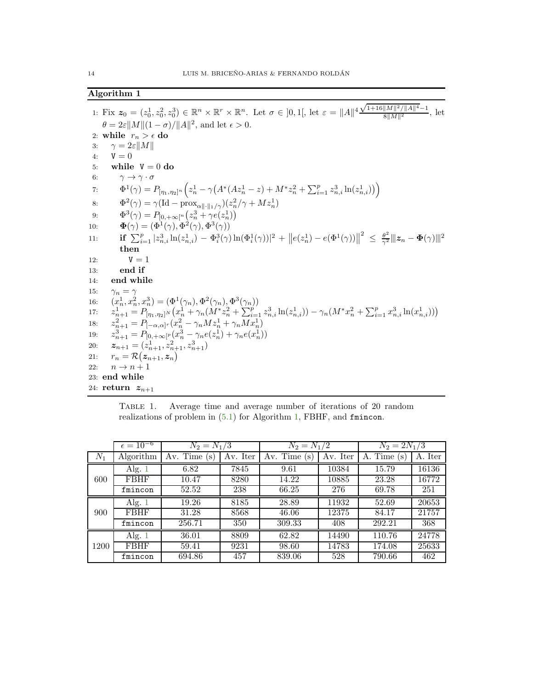# <span id="page-13-0"></span>Algorithm 1

1: Fix  $z_0 = (z_0^1, z_0^2, z_0^3) \in \mathbb{R}^n \times \mathbb{R}^r \times \mathbb{R}^n$ . Let  $\sigma \in ]0,1[$ , let  $\varepsilon = ||A||^4 \frac{\sqrt{1+16||M||^2/||A||^4}-1}{8||M||^2}$  $\frac{8\|M\|^2}{\|M\|^2}$ , let  $\theta = 2\varepsilon ||M||(1-\sigma)/||A||^2$ , and let  $\epsilon > 0$ . 2: while  $r_n > \epsilon$  do 3:  $\gamma = 2\varepsilon ||M||$ <br>4:  $\mathbf{V} = 0$  $V = 0$ 5: while  $V = 0$  do 6:  $\gamma \to \gamma \cdot \sigma$  $T: \qquad \Phi^1(\gamma) = P_{[\eta_1, \eta_2]^n} \Big( z_n^1 - \gamma \big( A^* (Az_n^1-z) + M^* z_n^2 + \sum_{i=1}^p z_{n,i}^3 \ln(z_{n,i}^1) \big) \Big).$ 8:  $\Phi^2(\gamma) = \gamma (\text{Id} - \text{prox}_{\alpha\|\cdot\|_1/\gamma})(z_n^2/\gamma + Mz_n^1)$ 9:  $\Phi^3(\gamma) = P_{[0, +\infty[^n} (z_n^3 + \gamma e(z_n^1))]$ 10:  $\mathbf{\Phi}(\gamma) = (\Phi^1(\gamma), \Phi^2(\gamma), \Phi^3(\gamma))$ 11: **if**  $\sum_{i=1}^p |z_{n,i}^3 \ln(z_{n,i}^1) - \Phi_i^3(\gamma) \ln(\Phi_i^1(\gamma))|^2 + ||e(z_n^1) - e(\Phi_1^1(\gamma))||^2 \leq \frac{\theta^2}{\gamma^2} ||z_n - \Phi(\gamma)||^2$ then 12:  $V = 1$ 13: end if 14: end while 15:  $\gamma_n = \gamma$ 16:  $(x_n^1, x_n^2, x_n^3) = (\Phi^1(\gamma_n), \Phi^2(\gamma_n), \Phi^3(\gamma_n))$ <br>
17:  $z_{n+1}^1 = P_{[\eta_1, \eta_2]^N}(x_n^1 + \gamma_n(M^* z_n^2 + \sum_{i=1}^p z_{n,i}^3 \ln(z_{n,i}^1)) - \gamma_n(M^* x_n^2 + \sum_{i=1}^p x_{n,i}^3 \ln(x_{n,i}^1))$ <br>
18:  $z_{n+1}^2 = P_{[-\alpha, \alpha]^r}(x_n^2 - \gamma_n M z_n^1 + \gamma_n M x_n^1)$  $17:$ 18: z  $19:$  $\sigma_{n+1}^3 = P_{[0,+\infty[^p]}(x_n^3 - \gamma_n e(z_n^1) + \gamma_n e(z_n^1))$ 20:  $\mathbf{z}_{n+1} = (z_{n+1}^1, z_{n+1}^2, z_{n+1}^3)$ 21:  $r_n = \mathcal{R} (z_{n+1}, z_n)$ 22:  $n \rightarrow n+1$ 23: end while 24: return  $z_{n+1}$ 

<span id="page-13-1"></span>Table 1. Average time and average number of iterations of 20 random realizations of problem in [\(5.1\)](#page-11-5) for Algorithm [1,](#page-13-0) FBHF, and fmincon.

|       | $\epsilon = 10^{-6}$ | $N_2 = N_1/3$   |          | $N_2 = N_1/2$  |          | $N_2 = 2N_1/3$ |         |
|-------|----------------------|-----------------|----------|----------------|----------|----------------|---------|
| $N_1$ | Algorithm            | Av. Time<br>(s) | Av. Iter | Av. Time<br>'s | Av. Iter | A. Time<br>(s  | A. Iter |
| 600   | Alg. $1$             | 6.82            | 7845     | 9.61           | 10384    | 15.79          | 16136   |
|       | <b>FBHF</b>          | 10.47           | 8280     | 14.22          | 10885    | 23.28          | 16772   |
|       | fmincon              | 52.52           | 238      | 66.25          | 276      | 69.78          | 251     |
| 900   | Alg. $1$             | 19.26           | 8185     | 28.89          | 11932    | 52.69          | 20653   |
|       | <b>FBHF</b>          | 31.28           | 8568     | 46.06          | 12375    | 84.17          | 21757   |
|       | fmincon              | 256.71          | 350      | 309.33         | 408      | 292.21         | 368     |
| 1200  | Alg. $1$             | 36.01           | 8809     | 62.82          | 14490    | 110.76         | 24778   |
|       | <b>FBHF</b>          | 59.41           | 9231     | 98.60          | 14783    | 174.08         | 25633   |
|       | fmincon              | 694.86          | 457      | 839.06         | 528      | 790.66         | 462     |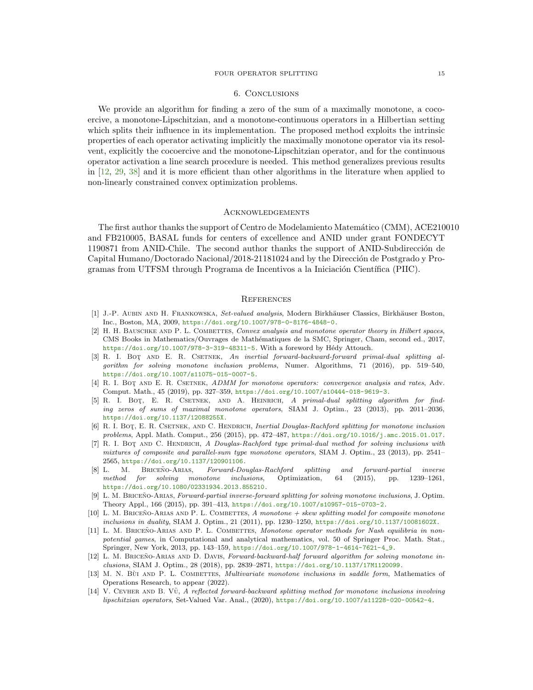#### FOUR OPERATOR SPLITTING 15

#### 6. Conclusions

We provide an algorithm for finding a zero of the sum of a maximally monotone, a cocoercive, a monotone-Lipschitzian, and a monotone-continuous operators in a Hilbertian setting which splits their influence in its implementation. The proposed method exploits the intrinsic properties of each operator activating implicitly the maximally monotone operator via its resolvent, explicitly the cocoercive and the monotone-Lipschitzian operator, and for the continuous operator activation a line search procedure is needed. This method generalizes previous results in [\[12,](#page-14-12) [29,](#page-15-21) [38\]](#page-16-1) and it is more efficient than other algorithms in the literature when applied to non-linearly constrained convex optimization problems.

## **ACKNOWLEDGEMENTS**

The first author thanks the support of Centro de Modelamiento Matemático (CMM), ACE210010 and FB210005, BASAL funds for centers of excellence and ANID under grant FONDECYT 1190871 from ANID-Chile. The second author thanks the support of ANID-Subdirección de Capital Humano/Doctorado Nacional/2018-21181024 and by the Dirección de Postgrado y Programas from UTFSM through Programa de Incentivos a la Iniciación Científica (PIIC).

#### **REFERENCES**

- <span id="page-14-0"></span>[1] J.-P. AUBIN AND H. FRANKOWSKA, Set-valued analysis, Modern Birkhäuser Classics, Birkhäuser Boston, Inc., Boston, MA, 2009, <https://doi.org/10.1007/978-0-8176-4848-0>.
- <span id="page-14-13"></span>[2] H. H. BAUSCHKE AND P. L. COMBETTES, Convex analysis and monotone operator theory in Hilbert spaces, CMS Books in Mathematics/Ouvrages de Mathématiques de la SMC, Springer, Cham, second ed., 2017, <https://doi.org/10.1007/978-3-319-48311-5>. With a foreword by Hédy Attouch.
- <span id="page-14-3"></span>[3] R. I. BOT AND E. R. CSETNEK, An inertial forward-backward-forward primal-dual splitting algorithm for solving monotone inclusion problems, Numer. Algorithms, 71 (2016), pp. 519–540, <https://doi.org/10.1007/s11075-015-0007-5>.
- <span id="page-14-2"></span>[4] R. I. BOT AND E. R. CSETNEK, ADMM for monotone operators: convergence analysis and rates, Adv. Comput. Math., 45 (2019), pp. 327–359, <https://doi.org/10.1007/s10444-018-9619-3>.
- <span id="page-14-4"></span>[5] R. I. Bot¸, E. R. Csetnek, and A. Heinrich, A primal-dual splitting algorithm for finding zeros of sums of maximal monotone operators, SIAM J. Optim., 23 (2013), pp. 2011–2036, <https://doi.org/10.1137/12088255X>.
- <span id="page-14-5"></span>[6] R. I. BOT, E. R. CSETNEK, AND C. HENDRICH, Inertial Douglas-Rachford splitting for monotone inclusion problems, Appl. Math. Comput., 256 (2015), pp. 472–487, <https://doi.org/10.1016/j.amc.2015.01.017>.
- <span id="page-14-6"></span>[7] R. I. BOT AND C. HENDRICH, A Douglas-Rachford type primal-dual method for solving inclusions with mixtures of composite and parallel-sum type monotone operators, SIAM J. Optim., 23 (2013), pp. 2541– 2565, <https://doi.org/10.1137/120901106>.
- <span id="page-14-10"></span>[8] L. M. BRICEÑO-ARIAS, Forward-Douglas-Rachford splitting and forward-partial inverse method for solving monotone inclusions, Optimization, 64 (2015), pp. 1239–1261, <https://doi.org/10.1080/02331934.2013.855210>.
- <span id="page-14-11"></span>[9] L. M. BRICEÑO-ARIAS, Forward-partial inverse-forward splitting for solving monotone inclusions, J. Optim. Theory Appl., 166 (2015), pp. 391–413, <https://doi.org/10.1007/s10957-015-0703-2>.
- <span id="page-14-7"></span>[10] L. M. BRICEÑO-ARIAS AND P. L. COMBETTES, A monotone + skew splitting model for composite monotone inclusions in duality, SIAM J. Optim., 21 (2011), pp. 1230–1250, <https://doi.org/10.1137/10081602X>.
- <span id="page-14-1"></span>[11] L. M. BRICEÑO-ARIAS AND P. L. COMBETTES, Monotone operator methods for Nash equilibria in nonpotential games, in Computational and analytical mathematics, vol. 50 of Springer Proc. Math. Stat., Springer, New York, 2013, pp. 143–159, [https://doi.org/10.1007/978-1-4614-7621-4\\_9](https://doi.org/10.1007/978-1-4614-7621-4_9).
- <span id="page-14-12"></span>[12] L. M. BRICEÑO-ARIAS AND D. DAVIS, Forward-backward-half forward algorithm for solving monotone inclusions, SIAM J. Optim., 28 (2018), pp. 2839–2871, <https://doi.org/10.1137/17M1120099>.
- <span id="page-14-8"></span>[13] M. N. Bùi AND P. L. COMBETTES, *Multivariate monotone inclusions in saddle form*, Mathematics of Operations Research, to appear (2022).
- <span id="page-14-9"></span>[14] V. CEVHER AND B. V $\tilde{u}$ , A reflected forward-backward splitting method for monotone inclusions involving lipschitzian operators, Set-Valued Var. Anal., (2020), <https://doi.org/10.1007/s11228-020-00542-4>.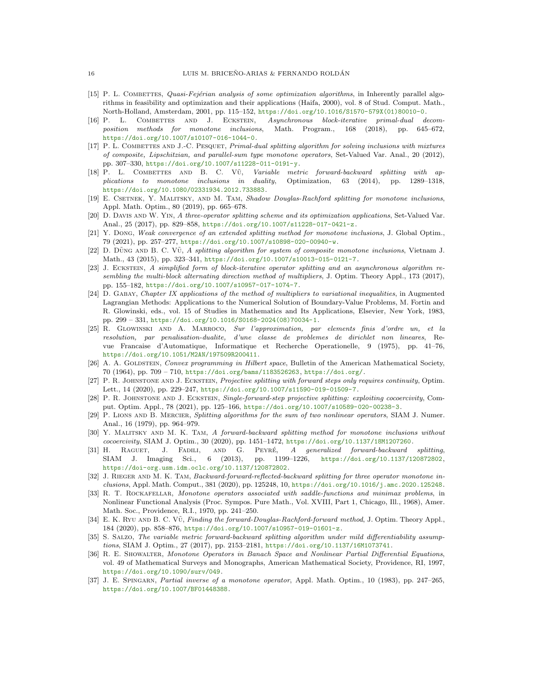- <span id="page-15-19"></span>[15] P. L. COMBETTES, Quasi-Fejérian analysis of some optimization algorithms, in Inherently parallel algorithms in feasibility and optimization and their applications (Haifa, 2000), vol. 8 of Stud. Comput. Math., North-Holland, Amsterdam, 2001, pp. 115–152, [https://doi.org/10.1016/S1570-579X\(01\)80010-0](https://doi.org/10.1016/S1570-579X(01)80010-0).
- <span id="page-15-4"></span>[16] P. L. COMBETTES AND J. ECKSTEIN, Asynchronous block-iterative primal-dual decomposition methods for monotone inclusions, Math. Program., 168 (2018), pp. 645–672, <https://doi.org/10.1007/s10107-016-1044-0>.
- <span id="page-15-5"></span>[17] P. L. COMBETTES AND J.-C. PESQUET, *Primal-dual splitting algorithm for solving inclusions with mixtures* of composite, Lipschitzian, and parallel-sum type monotone operators, Set-Valued Var. Anal., 20 (2012), pp. 307–330, <https://doi.org/10.1007/s11228-011-0191-y>.
- <span id="page-15-6"></span>[18] P. L. COMBETTES AND B. C. VŨ, Variable metric forward-backward splitting with applications to monotone inclusions in duality, Optimization, 63 (2014), pp. 1289–1318, <https://doi.org/10.1080/02331934.2012.733883>.
- <span id="page-15-7"></span>[19] E. CSETNEK, Y. MALITSKY, AND M. TAM, Shadow Douglas-Rachford splitting for monotone inclusions, Appl. Math. Optim., 80 (2019), pp. 665–678.
- <span id="page-15-8"></span>[20] D. DAVIS AND W. YIN, A three-operator splitting scheme and its optimization applications, Set-Valued Var. Anal., 25 (2017), pp. 829–858, <https://doi.org/10.1007/s11228-017-0421-z>.
- <span id="page-15-9"></span>[21] Y. Dong, Weak convergence of an extended splitting method for monotone inclusions, J. Global Optim., 79 (2021), pp. 257–277, <https://doi.org/10.1007/s10898-020-00940-w>.
- <span id="page-15-10"></span> $[22]$  D. Düng and B. C. V $\tilde{v}$ , A splitting algorithm for system of composite monotone inclusions, Vietnam J. Math., 43 (2015), pp. 323–341, <https://doi.org/10.1007/s10013-015-0121-7>.
- <span id="page-15-11"></span>[23] J. ECKSTEIN, A simplified form of block-iterative operator splitting and an asynchronous algorithm resembling the multi-block alternating direction method of multipliers, J. Optim. Theory Appl., 173 (2017), pp. 155–182, <https://doi.org/10.1007/s10957-017-1074-7>.
- <span id="page-15-0"></span>[24] D. Gabay, Chapter IX applications of the method of multipliers to variational inequalities, in Augmented Lagrangian Methods: Applications to the Numerical Solution of Boundary-Value Problems, M. Fortin and R. Glowinski, eds., vol. 15 of Studies in Mathematics and Its Applications, Elsevier, New York, 1983, pp. 299 – 331, [https://doi.org/10.1016/S0168-2024\(08\)70034-1](https://doi.org/10.1016/S0168-2024(08)70034-1).
- <span id="page-15-1"></span>[25] R. Glowinski and A. Marroco, Sur l'approximation, par elements finis d'ordre un, et la resolution, par penalisation-dualite, d'une classe de problemes de dirichlet non lineares, Revue Francaise d'Automatique, Informatique et Recherche Operationelle, 9 (1975), pp. 41–76, <https://doi.org/10.1051/M2AN/197509R200411>.
- <span id="page-15-2"></span>[26] A. A. GOLDSTEIN, Convex programming in Hilbert space, Bulletin of the American Mathematical Society, 70 (1964), pp. 709 – 710, <https://doi.org/bams/1183526263>, <https://doi.org/>.
- <span id="page-15-12"></span>[27] P. R. JOHNSTONE AND J. ECKSTEIN, Projective splitting with forward steps only requires continuity, Optim. Lett., 14 (2020), pp. 229–247, <https://doi.org/10.1007/s11590-019-01509-7>.
- <span id="page-15-13"></span>[28] P. R. JOHNSTONE AND J. ECKSTEIN, Single-forward-step projective splitting: exploiting cocoercivity, Comput. Optim. Appl., 78 (2021), pp. 125–166, <https://doi.org/10.1007/s10589-020-00238-3>.
- <span id="page-15-21"></span>[29] P. LIONS AND B. MERCIER, Splitting algorithms for the sum of two nonlinear operators, SIAM J. Numer. Anal., 16 (1979), pp. 964–979.
- <span id="page-15-14"></span>[30] Y. MALITSKY AND M. K. TAM, A forward-backward splitting method for monotone inclusions without cocoercivity, SIAM J. Optim., 30 (2020), pp. 1451–1472, <https://doi.org/10.1137/18M1207260>.
- <span id="page-15-15"></span>[31] H. RAGUET, J. FADILI, AND G. PEYRÉ, A generalized forward-backward splitting, SIAM J. Imaging Sci., 6 (2013), pp. 1199–1226, <https://doi.org/10.1137/120872802>, <https://doi-org.usm.idm.oclc.org/10.1137/120872802>.
- <span id="page-15-16"></span>[32] J. RIEGER AND M. K. TAM, *Backward-forward-reflected-backward splitting for three operator monotone in*clusions, Appl. Math. Comput., 381 (2020), pp. 125248, 10, <https://doi.org/10.1016/j.amc.2020.125248>.
- <span id="page-15-22"></span>[33] R. T. ROCKAFELLAR, Monotone operators associated with saddle-functions and minimax problems, in Nonlinear Functional Analysis (Proc. Sympos. Pure Math., Vol. XVIII, Part 1, Chicago, Ill., 1968), Amer. Math. Soc., Providence, R.I., 1970, pp. 241–250.
- <span id="page-15-17"></span>[34] E. K. Ryu AND B. C. VŨ, Finding the forward-Douglas-Rachford-forward method, J. Optim. Theory Appl., 184 (2020), pp. 858–876, <https://doi.org/10.1007/s10957-019-01601-z>.
- <span id="page-15-20"></span>[35] S. SALZO, The variable metric forward-backward splitting algorithm under mild differentiability assumptions, SIAM J. Optim., 27 (2017), pp. 2153–2181, <https://doi.org/10.1137/16M1073741>.
- <span id="page-15-3"></span>[36] R. E. SHOWALTER, Monotone Operators in Banach Space and Nonlinear Partial Differential Equations, vol. 49 of Mathematical Surveys and Monographs, American Mathematical Society, Providence, RI, 1997, <https://doi.org/10.1090/surv/049>.
- <span id="page-15-18"></span>[37] J. E. Spingarn, Partial inverse of a monotone operator, Appl. Math. Optim., 10 (1983), pp. 247–265, <https://doi.org/10.1007/BF01448388>.